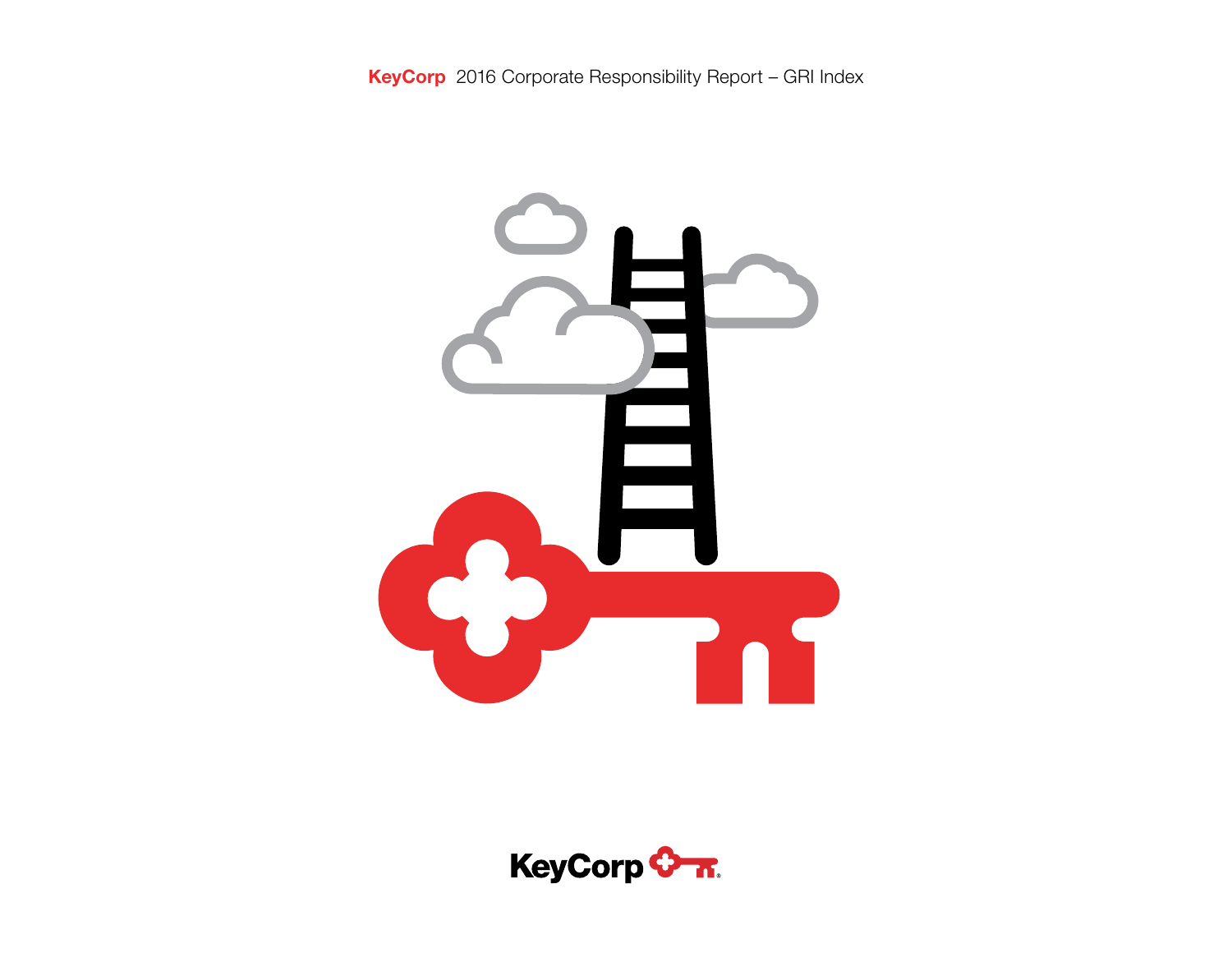

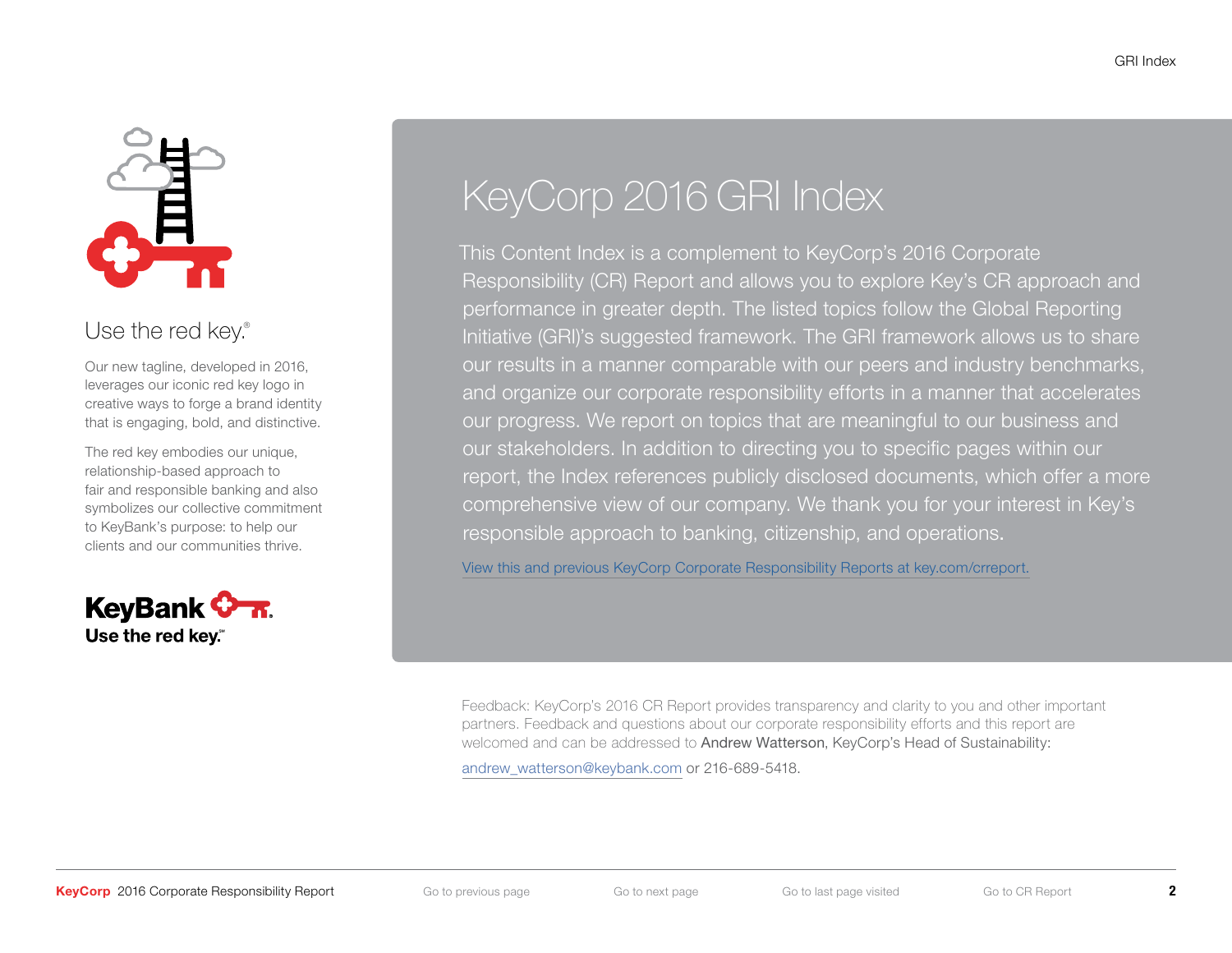

# Use the red key.<sup>®</sup>

Our new tagline, developed in 2016, leverages our iconic red key logo in creative ways to forge a brand identity that is engaging, bold, and distinctive.

The red key embodies our unique, relationship-based approach to fair and responsible banking and also symbolizes our collective commitment to KeyBank's purpose: to help our clients and our communities thrive.



# KeyCorp 2016 GRI Index

This Content Index is a complement to KeyCorp's 2016 Corporate Responsibility (CR) Report and allows you to explore Key's CR approach and performance in greater depth. The listed topics follow the Global Reporting Initiative (GRI)'s suggested framework. The GRI framework allows us to share our results in a manner comparable with our peers and industry benchmarks, and organize our corporate responsibility efforts in a manner that accelerates our progress. We report on topics that are meaningful to our business and our stakeholders. In addition to directing you to specific pages within our report, the Index references publicly disclosed documents, which offer a more comprehensive view of our company. We thank you for your interest in Key's responsible approach to banking, citizenship, and operations.

[View this and previous KeyCorp Corporate Responsibility Reports at key.com/crreport.](https://www.key.com/about/community/crreport.jsp)

Feedback: KeyCorp's 2016 CR Report provides transparency and clarity to you and other important partners. Feedback and questions about our corporate responsibility efforts and this report are welcomed and can be addressed to Andrew Watterson, KeyCorp's Head of Sustainability:

[andrew\\_watterson@keybank.com](mailto:andrew_watterson%40keybank.com?subject=) or 216-689-5418.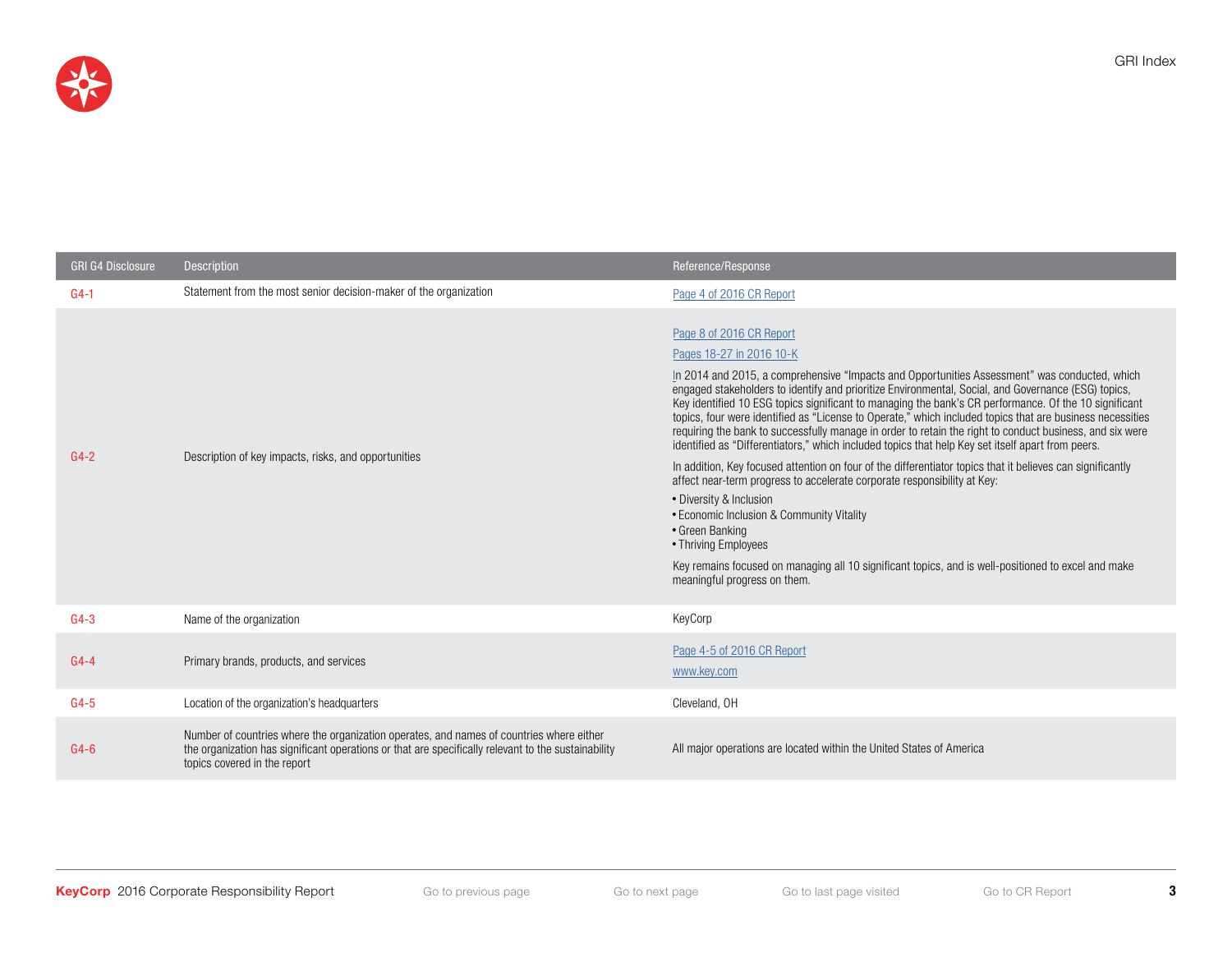

| <b>GRI G4 Disclosure</b> | <b>Description</b>                                                                                                                                                                                                              | Reference/Response                                                                                                                                                                                                                                                                                                                                                                                                                                                                                                                                                                                                                                                                                                                                                                                                                                                                                                                                                                                                                                                                                                                                      |
|--------------------------|---------------------------------------------------------------------------------------------------------------------------------------------------------------------------------------------------------------------------------|---------------------------------------------------------------------------------------------------------------------------------------------------------------------------------------------------------------------------------------------------------------------------------------------------------------------------------------------------------------------------------------------------------------------------------------------------------------------------------------------------------------------------------------------------------------------------------------------------------------------------------------------------------------------------------------------------------------------------------------------------------------------------------------------------------------------------------------------------------------------------------------------------------------------------------------------------------------------------------------------------------------------------------------------------------------------------------------------------------------------------------------------------------|
| $G4-1$                   | Statement from the most senior decision-maker of the organization                                                                                                                                                               | Page 4 of 2016 CR Report                                                                                                                                                                                                                                                                                                                                                                                                                                                                                                                                                                                                                                                                                                                                                                                                                                                                                                                                                                                                                                                                                                                                |
| $G4-2$                   | Description of key impacts, risks, and opportunities                                                                                                                                                                            | Page 8 of 2016 CR Report<br>Pages 18-27 in 2016 10-K<br>In 2014 and 2015, a comprehensive "Impacts and Opportunities Assessment" was conducted, which<br>engaged stakeholders to identify and prioritize Environmental, Social, and Governance (ESG) topics,<br>Key identified 10 ESG topics significant to managing the bank's CR performance. Of the 10 significant<br>topics, four were identified as "License to Operate," which included topics that are business necessities<br>requiring the bank to successfully manage in order to retain the right to conduct business, and six were<br>identified as "Differentiators," which included topics that help Key set itself apart from peers.<br>In addition, Key focused attention on four of the differentiator topics that it believes can significantly<br>affect near-term progress to accelerate corporate responsibility at Key:<br>• Diversity & Inclusion<br>• Economic Inclusion & Community Vitality<br>• Green Banking<br>• Thriving Employees<br>Key remains focused on managing all 10 significant topics, and is well-positioned to excel and make<br>meaningful progress on them. |
| $G4-3$                   | Name of the organization                                                                                                                                                                                                        | KeyCorp                                                                                                                                                                                                                                                                                                                                                                                                                                                                                                                                                                                                                                                                                                                                                                                                                                                                                                                                                                                                                                                                                                                                                 |
| $G4-4$                   | Primary brands, products, and services                                                                                                                                                                                          | Page 4-5 of 2016 CR Report<br>www.key.com                                                                                                                                                                                                                                                                                                                                                                                                                                                                                                                                                                                                                                                                                                                                                                                                                                                                                                                                                                                                                                                                                                               |
| $G4-5$                   | Location of the organization's headquarters                                                                                                                                                                                     | Cleveland, OH                                                                                                                                                                                                                                                                                                                                                                                                                                                                                                                                                                                                                                                                                                                                                                                                                                                                                                                                                                                                                                                                                                                                           |
| $G4-6$                   | Number of countries where the organization operates, and names of countries where either<br>the organization has significant operations or that are specifically relevant to the sustainability<br>topics covered in the report | All major operations are located within the United States of America                                                                                                                                                                                                                                                                                                                                                                                                                                                                                                                                                                                                                                                                                                                                                                                                                                                                                                                                                                                                                                                                                    |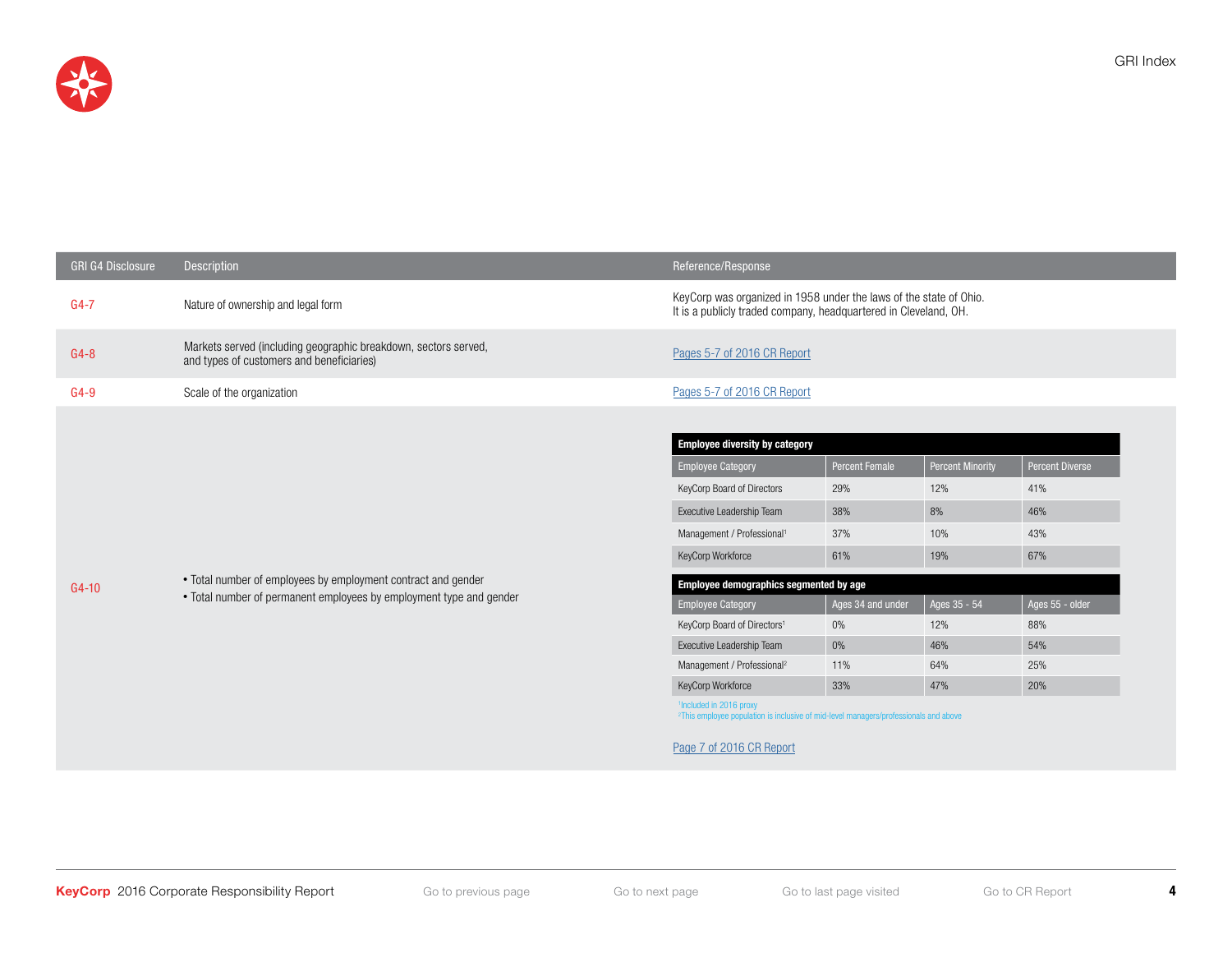

| <b>GRI G4 Disclosure</b> | Description                                                                                                                          | Reference/Response                                                                                                                      |                       |                         |                 |
|--------------------------|--------------------------------------------------------------------------------------------------------------------------------------|-----------------------------------------------------------------------------------------------------------------------------------------|-----------------------|-------------------------|-----------------|
| $G4-7$                   | Nature of ownership and legal form                                                                                                   | KeyCorp was organized in 1958 under the laws of the state of Ohio.<br>It is a publicly traded company, headquartered in Cleveland, OH.  |                       |                         |                 |
| $G4-8$                   | Markets served (including geographic breakdown, sectors served,<br>and types of customers and beneficiaries)                         | Pages 5-7 of 2016 CR Report                                                                                                             |                       |                         |                 |
| $G4-9$                   | Scale of the organization                                                                                                            | Pages 5-7 of 2016 CR Report                                                                                                             |                       |                         |                 |
|                          |                                                                                                                                      |                                                                                                                                         |                       |                         |                 |
|                          | • Total number of employees by employment contract and gender<br>• Total number of permanent employees by employment type and gender | <b>Employee diversity by category</b>                                                                                                   |                       |                         |                 |
|                          |                                                                                                                                      | <b>Employee Category</b>                                                                                                                | <b>Percent Female</b> | <b>Percent Minority</b> | Percent Diverse |
|                          |                                                                                                                                      | KeyCorp Board of Directors                                                                                                              | 29%                   | 12%                     | 41%             |
|                          |                                                                                                                                      | Executive Leadership Team                                                                                                               | 38%                   | 8%                      | 46%             |
|                          |                                                                                                                                      | Management / Professional <sup>1</sup>                                                                                                  | 37%                   | 10%                     | 43%             |
|                          |                                                                                                                                      | KeyCorp Workforce                                                                                                                       | 61%                   | 19%                     | 67%             |
| $G4-10$                  |                                                                                                                                      | Employee demographics segmented by age                                                                                                  |                       |                         |                 |
|                          |                                                                                                                                      | <b>Employee Category</b>                                                                                                                | Ages 34 and under     | Ages 35 - 54            | Ages 55 - older |
|                          |                                                                                                                                      | KeyCorp Board of Directors <sup>1</sup>                                                                                                 | $0\%$                 | 12%                     | 88%             |
|                          |                                                                                                                                      | Executive Leadership Team                                                                                                               | 0%                    | 46%                     | 54%             |
|                          |                                                                                                                                      | Management / Professional <sup>2</sup>                                                                                                  | 11%                   | 64%                     | 25%             |
|                          |                                                                                                                                      | KeyCorp Workforce                                                                                                                       | 33%                   | 47%                     | 20%             |
|                          |                                                                                                                                      | <sup>1</sup> Included in 2016 proxy<br><sup>2</sup> This employee population is inclusive of mid-level managers/professionals and above |                       |                         |                 |
|                          |                                                                                                                                      | Page 7 of 2016 CR Report                                                                                                                |                       |                         |                 |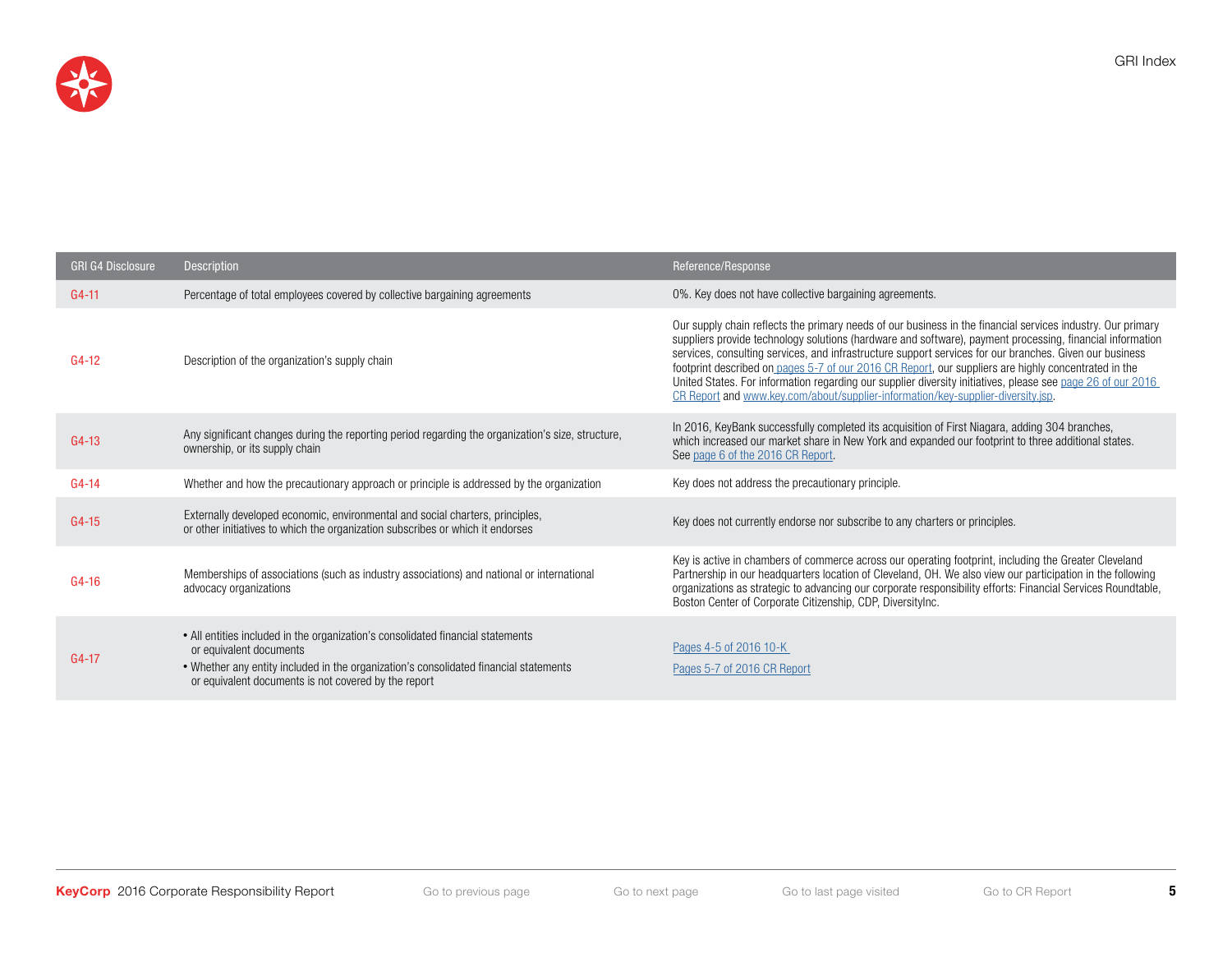

| <b>GRI G4 Disclosure</b> | <b>Description</b>                                                                                                                                                                                                                                          | Reference/Response                                                                                                                                                                                                                                                                                                                                                                                                                                                                                                                                                                                                                             |
|--------------------------|-------------------------------------------------------------------------------------------------------------------------------------------------------------------------------------------------------------------------------------------------------------|------------------------------------------------------------------------------------------------------------------------------------------------------------------------------------------------------------------------------------------------------------------------------------------------------------------------------------------------------------------------------------------------------------------------------------------------------------------------------------------------------------------------------------------------------------------------------------------------------------------------------------------------|
| $G4 - 11$                | Percentage of total employees covered by collective bargaining agreements                                                                                                                                                                                   | 0%. Key does not have collective bargaining agreements.                                                                                                                                                                                                                                                                                                                                                                                                                                                                                                                                                                                        |
| $G4-12$                  | Description of the organization's supply chain                                                                                                                                                                                                              | Our supply chain reflects the primary needs of our business in the financial services industry. Our primary<br>suppliers provide technology solutions (hardware and software), payment processing, financial information<br>services, consulting services, and infrastructure support services for our branches. Given our business<br>footprint described on pages 5-7 of our 2016 CR Report, our suppliers are highly concentrated in the<br>United States. For information regarding our supplier diversity initiatives, please see page 26 of our 2016<br>CR Report and www.key.com/about/supplier-information/key-supplier-diversity.jsp. |
| $G4-13$                  | Any significant changes during the reporting period regarding the organization's size, structure,<br>ownership, or its supply chain                                                                                                                         | In 2016, KeyBank successfully completed its acquisition of First Niagara, adding 304 branches,<br>which increased our market share in New York and expanded our footprint to three additional states.<br>See page 6 of the 2016 CR Report.                                                                                                                                                                                                                                                                                                                                                                                                     |
| $G4-14$                  | Whether and how the precautionary approach or principle is addressed by the organization                                                                                                                                                                    | Key does not address the precautionary principle.                                                                                                                                                                                                                                                                                                                                                                                                                                                                                                                                                                                              |
| $G4 - 15$                | Externally developed economic, environmental and social charters, principles,<br>or other initiatives to which the organization subscribes or which it endorses                                                                                             | Key does not currently endorse nor subscribe to any charters or principles.                                                                                                                                                                                                                                                                                                                                                                                                                                                                                                                                                                    |
| $G4-16$                  | Memberships of associations (such as industry associations) and national or international<br>advocacy organizations                                                                                                                                         | Key is active in chambers of commerce across our operating footprint, including the Greater Cleveland<br>Partnership in our headquarters location of Cleveland, OH. We also view our participation in the following<br>organizations as strategic to advancing our corporate responsibility efforts: Financial Services Roundtable,<br>Boston Center of Corporate Citizenship, CDP, DiversityInc.                                                                                                                                                                                                                                              |
| $G4-17$                  | • All entities included in the organization's consolidated financial statements<br>or equivalent documents<br>• Whether any entity included in the organization's consolidated financial statements<br>or equivalent documents is not covered by the report | Pages 4-5 of 2016 10-K<br>Pages 5-7 of 2016 CR Report                                                                                                                                                                                                                                                                                                                                                                                                                                                                                                                                                                                          |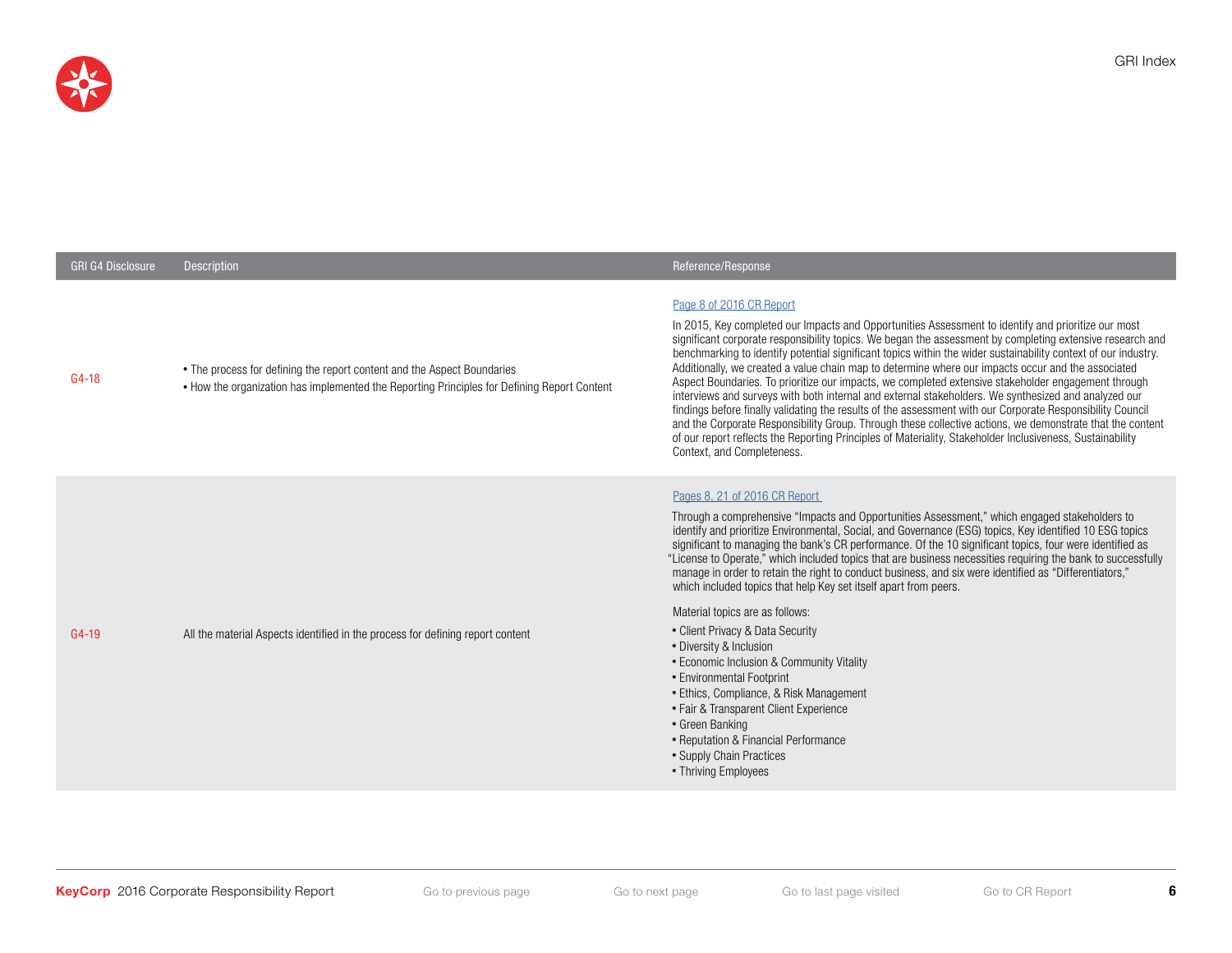

| <b>GRI G4 Disclosure</b> | <b>Description</b>                                                                                                                                                     | Reference/Response                                                                                                                                                                                                                                                                                                                                                                                                                                                                                                                                                                                                                                                                                                                                                                                                                                                                                                                                                                                                                                        |
|--------------------------|------------------------------------------------------------------------------------------------------------------------------------------------------------------------|-----------------------------------------------------------------------------------------------------------------------------------------------------------------------------------------------------------------------------------------------------------------------------------------------------------------------------------------------------------------------------------------------------------------------------------------------------------------------------------------------------------------------------------------------------------------------------------------------------------------------------------------------------------------------------------------------------------------------------------------------------------------------------------------------------------------------------------------------------------------------------------------------------------------------------------------------------------------------------------------------------------------------------------------------------------|
| $G4-18$                  | • The process for defining the report content and the Aspect Boundaries<br>• How the organization has implemented the Reporting Principles for Defining Report Content | Page 8 of 2016 CR Report<br>In 2015, Key completed our Impacts and Opportunities Assessment to identify and prioritize our most<br>significant corporate responsibility topics. We began the assessment by completing extensive research and<br>benchmarking to identify potential significant topics within the wider sustainability context of our industry.<br>Additionally, we created a value chain map to determine where our impacts occur and the associated<br>Aspect Boundaries. To prioritize our impacts, we completed extensive stakeholder engagement through<br>interviews and surveys with both internal and external stakeholders. We synthesized and analyzed our<br>findings before finally validating the results of the assessment with our Corporate Responsibility Council<br>and the Corporate Responsibility Group. Through these collective actions, we demonstrate that the content<br>of our report reflects the Reporting Principles of Materiality, Stakeholder Inclusiveness, Sustainability<br>Context, and Completeness. |
| G4-19                    | All the material Aspects identified in the process for defining report content                                                                                         | Pages 8, 21 of 2016 CR Report<br>Through a comprehensive "Impacts and Opportunities Assessment," which engaged stakeholders to<br>identify and prioritize Environmental, Social, and Governance (ESG) topics, Key identified 10 ESG topics<br>significant to managing the bank's CR performance. Of the 10 significant topics, four were identified as<br>"License to Operate," which included topics that are business necessities requiring the bank to successfully<br>manage in order to retain the right to conduct business, and six were identified as "Differentiators,"<br>which included topics that help Key set itself apart from peers.<br>Material topics are as follows:<br>• Client Privacy & Data Security<br>• Diversity & Inclusion<br>• Economic Inclusion & Community Vitality<br>• Environmental Footprint<br>• Ethics, Compliance, & Risk Management<br>• Fair & Transparent Client Experience<br>• Green Banking<br>• Reputation & Financial Performance<br>• Supply Chain Practices<br>• Thriving Employees                      |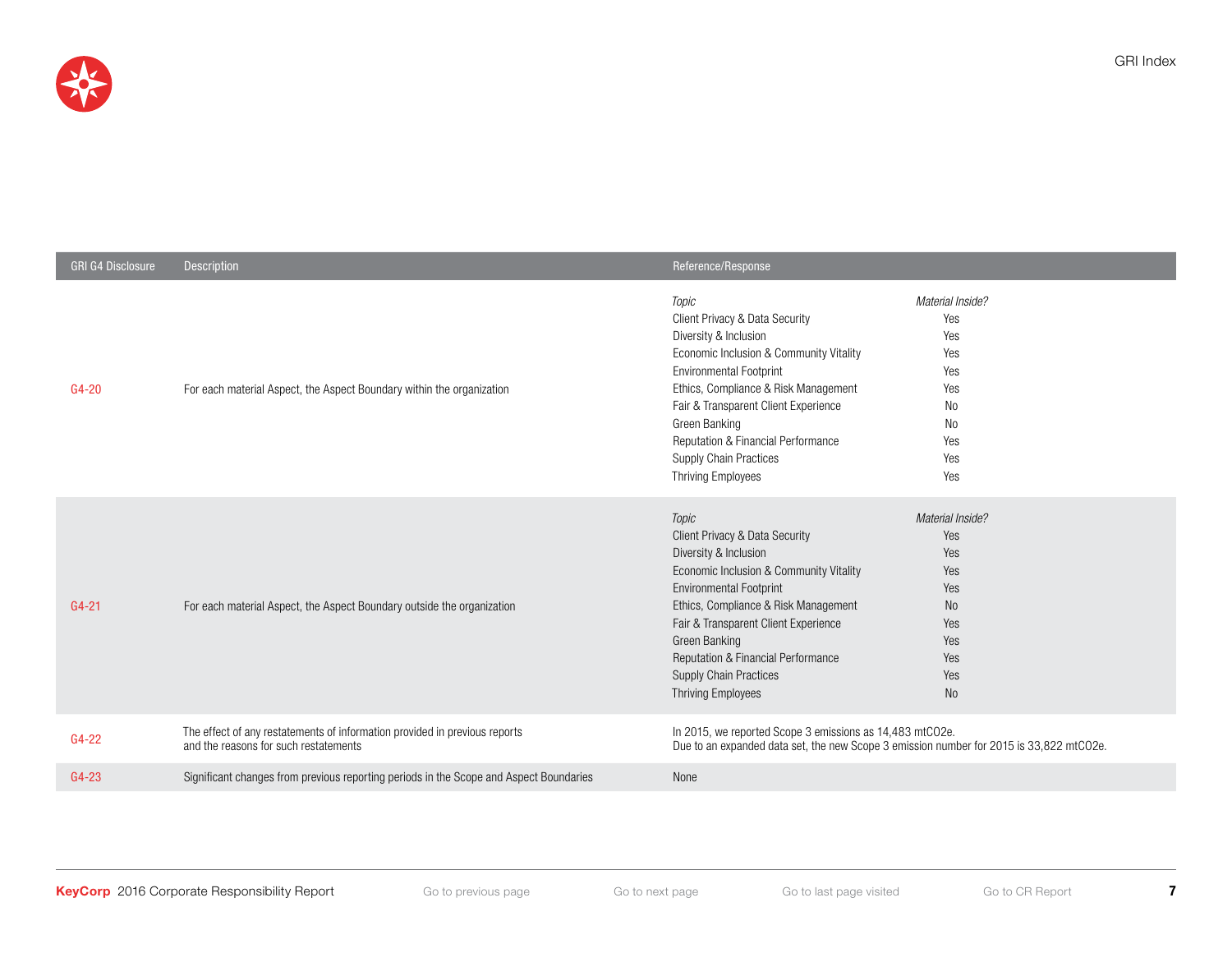

| <b>GRI G4 Disclosure</b> | <b>Description</b>                                                                                                  | Reference/Response                                                                                                                                                                                                                                                                                                                          |                                                                                                  |
|--------------------------|---------------------------------------------------------------------------------------------------------------------|---------------------------------------------------------------------------------------------------------------------------------------------------------------------------------------------------------------------------------------------------------------------------------------------------------------------------------------------|--------------------------------------------------------------------------------------------------|
| $G4-20$                  | For each material Aspect, the Aspect Boundary within the organization                                               | Topic<br>Client Privacy & Data Security<br>Diversity & Inclusion<br>Economic Inclusion & Community Vitality<br><b>Environmental Footprint</b><br>Ethics, Compliance & Risk Management<br>Fair & Transparent Client Experience<br>Green Banking<br>Reputation & Financial Performance<br>Supply Chain Practices<br><b>Thriving Employees</b> | Material Inside?<br>Yes<br>Yes<br>Yes<br>Yes<br>Yes<br>No<br>No<br>Yes<br>Yes<br>Yes             |
| $G4 - 21$                | For each material Aspect, the Aspect Boundary outside the organization                                              | Topic<br>Client Privacy & Data Security<br>Diversity & Inclusion<br>Economic Inclusion & Community Vitality<br><b>Environmental Footprint</b><br>Ethics, Compliance & Risk Management<br>Fair & Transparent Client Experience<br>Green Banking<br>Reputation & Financial Performance<br>Supply Chain Practices<br><b>Thriving Employees</b> | Material Inside?<br>Yes<br>Yes<br>Yes<br>Yes<br>N <sub>o</sub><br>Yes<br>Yes<br>Yes<br>Yes<br>No |
| $G4-22$                  | The effect of any restatements of information provided in previous reports<br>and the reasons for such restatements | In 2015, we reported Scope 3 emissions as 14,483 mtCO2e.<br>Due to an expanded data set, the new Scope 3 emission number for 2015 is 33,822 mtCO2e.                                                                                                                                                                                         |                                                                                                  |
| $G4-23$                  | Significant changes from previous reporting periods in the Scope and Aspect Boundaries                              | None                                                                                                                                                                                                                                                                                                                                        |                                                                                                  |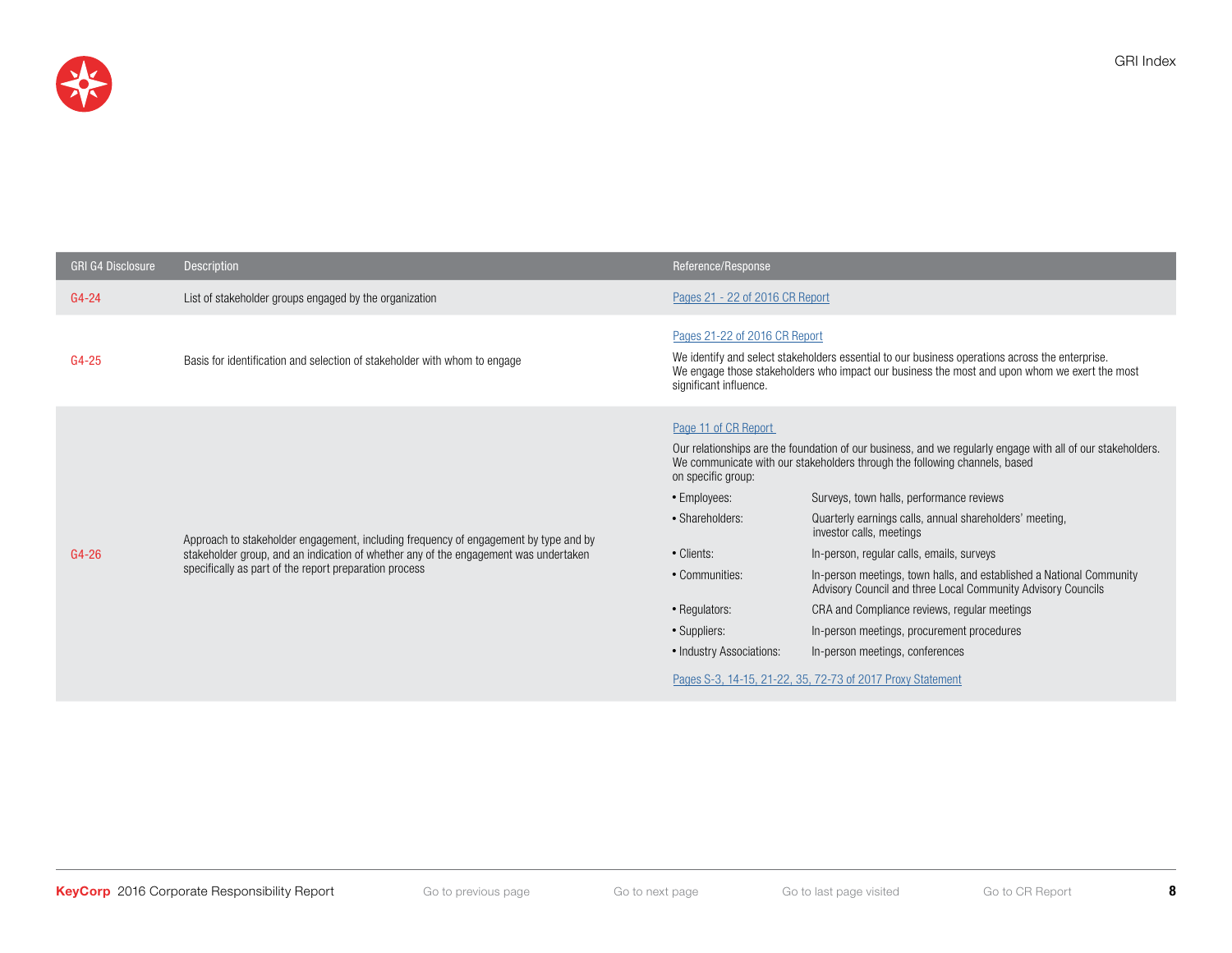

L

| <b>GRI G4 Disclosure</b> | Description                                                                                                                                                                                                                            | Reference/Response                                                                                                                                                         |                                                                                                                                                                                                                                                                                                                                                                                                                                                                                                                                                                                                                                                                                                                  |
|--------------------------|----------------------------------------------------------------------------------------------------------------------------------------------------------------------------------------------------------------------------------------|----------------------------------------------------------------------------------------------------------------------------------------------------------------------------|------------------------------------------------------------------------------------------------------------------------------------------------------------------------------------------------------------------------------------------------------------------------------------------------------------------------------------------------------------------------------------------------------------------------------------------------------------------------------------------------------------------------------------------------------------------------------------------------------------------------------------------------------------------------------------------------------------------|
| $G4-24$                  | List of stakeholder groups engaged by the organization                                                                                                                                                                                 | Pages 21 - 22 of 2016 CR Report                                                                                                                                            |                                                                                                                                                                                                                                                                                                                                                                                                                                                                                                                                                                                                                                                                                                                  |
| $G4-25$                  | Basis for identification and selection of stakeholder with whom to engage                                                                                                                                                              | Pages 21-22 of 2016 CR Report<br>significant influence.                                                                                                                    | We identify and select stakeholders essential to our business operations across the enterprise.<br>We engage those stakeholders who impact our business the most and upon whom we exert the most                                                                                                                                                                                                                                                                                                                                                                                                                                                                                                                 |
| $G4-26$                  | Approach to stakeholder engagement, including frequency of engagement by type and by<br>stakeholder group, and an indication of whether any of the engagement was undertaken<br>specifically as part of the report preparation process | Page 11 of CR Report<br>on specific group:<br>• Employees:<br>• Shareholders:<br>• Clients:<br>• Communities:<br>• Regulators:<br>• Suppliers:<br>• Industry Associations: | Our relationships are the foundation of our business, and we regularly engage with all of our stakeholders.<br>We communicate with our stakeholders through the following channels, based<br>Surveys, town halls, performance reviews<br>Quarterly earnings calls, annual shareholders' meeting,<br>investor calls, meetings<br>In-person, regular calls, emails, surveys<br>In-person meetings, town halls, and established a National Community<br>Advisory Council and three Local Community Advisory Councils<br>CRA and Compliance reviews, regular meetings<br>In-person meetings, procurement procedures<br>In-person meetings, conferences<br>Pages S-3, 14-15, 21-22, 35, 72-73 of 2017 Proxy Statement |

GRI Index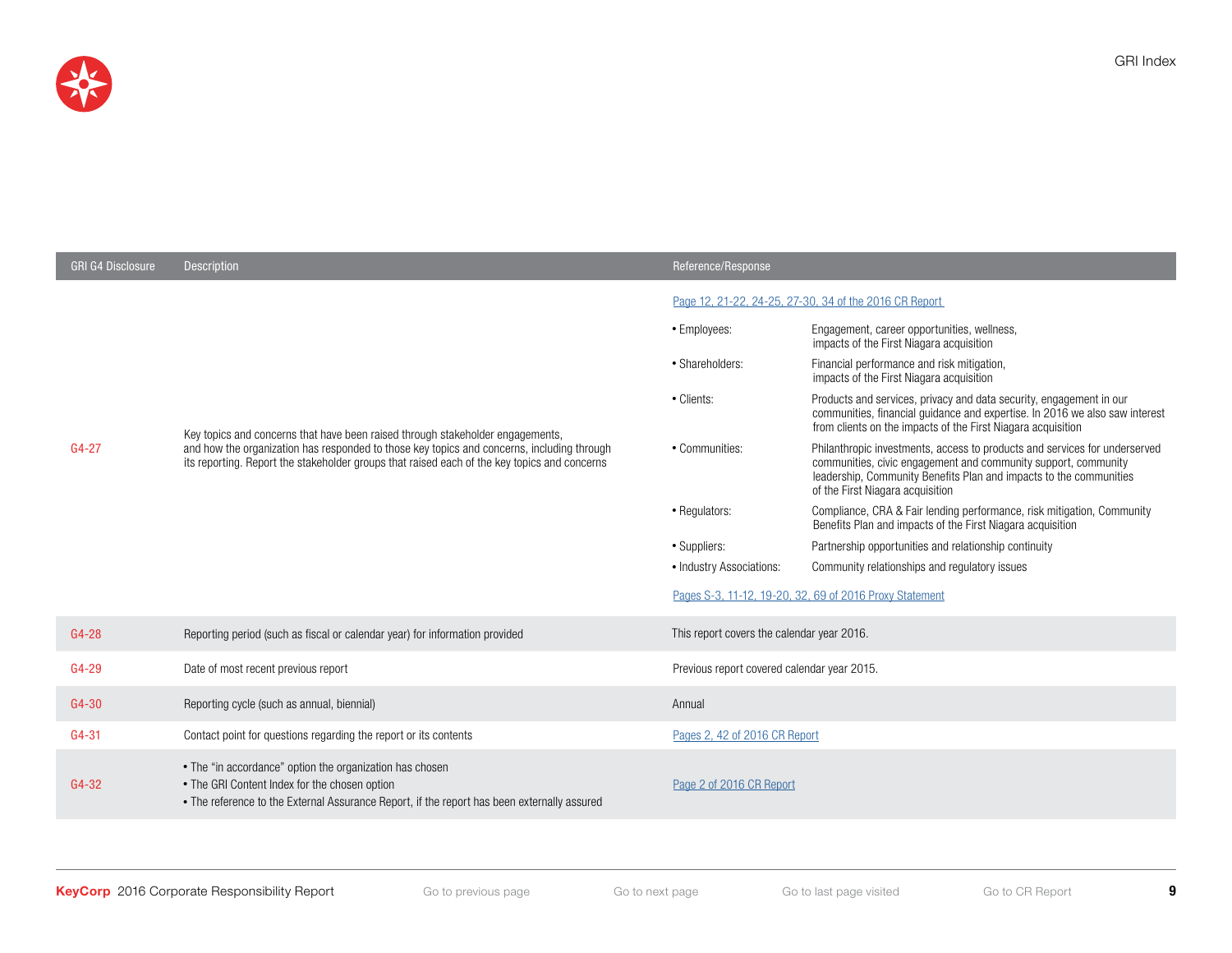

| <b>GRI G4 Disclosure</b> | <b>Description</b>                                                                                                                                                                                                                                                           | Reference/Response                                     |                                                                                                                                                                                                                                                        |  |
|--------------------------|------------------------------------------------------------------------------------------------------------------------------------------------------------------------------------------------------------------------------------------------------------------------------|--------------------------------------------------------|--------------------------------------------------------------------------------------------------------------------------------------------------------------------------------------------------------------------------------------------------------|--|
|                          | Key topics and concerns that have been raised through stakeholder engagements,<br>and how the organization has responded to those key topics and concerns, including through<br>its reporting. Report the stakeholder groups that raised each of the key topics and concerns | Page 12, 21-22, 24-25, 27-30, 34 of the 2016 CR Report |                                                                                                                                                                                                                                                        |  |
| $G4 - 27$                |                                                                                                                                                                                                                                                                              | • Employees:                                           | Engagement, career opportunities, wellness,<br>impacts of the First Niagara acquisition                                                                                                                                                                |  |
|                          |                                                                                                                                                                                                                                                                              | • Shareholders:                                        | Financial performance and risk mitigation,<br>impacts of the First Niagara acquisition                                                                                                                                                                 |  |
|                          |                                                                                                                                                                                                                                                                              | • Clients:                                             | Products and services, privacy and data security, engagement in our<br>communities, financial guidance and expertise. In 2016 we also saw interest<br>from clients on the impacts of the First Niagara acquisition                                     |  |
|                          |                                                                                                                                                                                                                                                                              | • Communities:                                         | Philanthropic investments, access to products and services for underserved<br>communities, civic engagement and community support, community<br>leadership, Community Benefits Plan and impacts to the communities<br>of the First Niagara acquisition |  |
|                          |                                                                                                                                                                                                                                                                              | • Regulators:                                          | Compliance, CRA & Fair lending performance, risk mitigation, Community<br>Benefits Plan and impacts of the First Niagara acquisition                                                                                                                   |  |
|                          |                                                                                                                                                                                                                                                                              | • Suppliers:                                           | Partnership opportunities and relationship continuity                                                                                                                                                                                                  |  |
|                          |                                                                                                                                                                                                                                                                              | • Industry Associations:                               | Community relationships and regulatory issues                                                                                                                                                                                                          |  |
|                          |                                                                                                                                                                                                                                                                              |                                                        | Pages S-3, 11-12, 19-20, 32, 69 of 2016 Proxy Statement                                                                                                                                                                                                |  |
| G4-28                    | Reporting period (such as fiscal or calendar year) for information provided                                                                                                                                                                                                  | This report covers the calendar year 2016.             |                                                                                                                                                                                                                                                        |  |
| G4-29                    | Date of most recent previous report                                                                                                                                                                                                                                          | Previous report covered calendar year 2015.            |                                                                                                                                                                                                                                                        |  |
| G4-30                    | Reporting cycle (such as annual, biennial)                                                                                                                                                                                                                                   | Annual                                                 |                                                                                                                                                                                                                                                        |  |
| $G4 - 31$                | Contact point for questions regarding the report or its contents                                                                                                                                                                                                             | Pages 2, 42 of 2016 CR Report                          |                                                                                                                                                                                                                                                        |  |
| G4-32                    | • The "in accordance" option the organization has chosen<br>• The GRI Content Index for the chosen option<br>• The reference to the External Assurance Report, if the report has been externally assured                                                                     | Page 2 of 2016 CR Report                               |                                                                                                                                                                                                                                                        |  |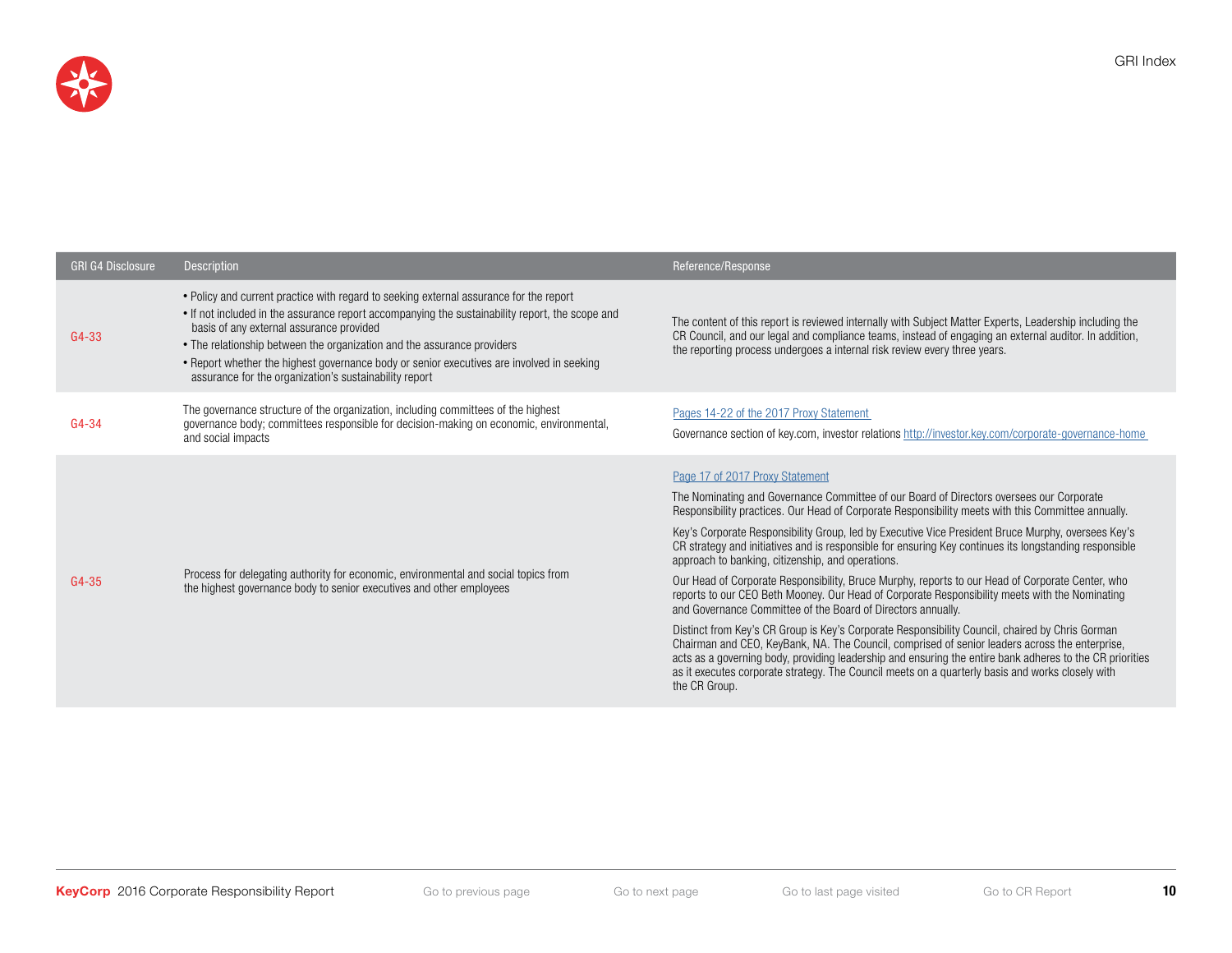

| <b>GRI G4 Disclosure</b> | Description                                                                                                                                                                                                                                                                                                                                                                                                                                                             | Reference/Response                                                                                                                                                                                                                                                                                                                                                                                                                                                                                                                                                                                                                                                                                                                                                                                                                                                                                                                                                                                                                                                                                                                                                                                                 |
|--------------------------|-------------------------------------------------------------------------------------------------------------------------------------------------------------------------------------------------------------------------------------------------------------------------------------------------------------------------------------------------------------------------------------------------------------------------------------------------------------------------|--------------------------------------------------------------------------------------------------------------------------------------------------------------------------------------------------------------------------------------------------------------------------------------------------------------------------------------------------------------------------------------------------------------------------------------------------------------------------------------------------------------------------------------------------------------------------------------------------------------------------------------------------------------------------------------------------------------------------------------------------------------------------------------------------------------------------------------------------------------------------------------------------------------------------------------------------------------------------------------------------------------------------------------------------------------------------------------------------------------------------------------------------------------------------------------------------------------------|
| G4-33                    | • Policy and current practice with regard to seeking external assurance for the report<br>• If not included in the assurance report accompanying the sustainability report, the scope and<br>basis of any external assurance provided<br>• The relationship between the organization and the assurance providers<br>• Report whether the highest governance body or senior executives are involved in seeking<br>assurance for the organization's sustainability report | The content of this report is reviewed internally with Subject Matter Experts, Leadership including the<br>CR Council, and our legal and compliance teams, instead of engaging an external auditor. In addition,<br>the reporting process undergoes a internal risk review every three years.                                                                                                                                                                                                                                                                                                                                                                                                                                                                                                                                                                                                                                                                                                                                                                                                                                                                                                                      |
| $G4 - 34$                | The governance structure of the organization, including committees of the highest<br>governance body; committees responsible for decision-making on economic, environmental,<br>and social impacts                                                                                                                                                                                                                                                                      | Pages 14-22 of the 2017 Proxy Statement<br>Governance section of key.com, investor relations http://investor.key.com/corporate-governance-home                                                                                                                                                                                                                                                                                                                                                                                                                                                                                                                                                                                                                                                                                                                                                                                                                                                                                                                                                                                                                                                                     |
| G4-35                    | Process for delegating authority for economic, environmental and social topics from<br>the highest governance body to senior executives and other employees                                                                                                                                                                                                                                                                                                             | Page 17 of 2017 Proxy Statement<br>The Nominating and Governance Committee of our Board of Directors oversees our Corporate<br>Responsibility practices. Our Head of Corporate Responsibility meets with this Committee annually.<br>Key's Corporate Responsibility Group, led by Executive Vice President Bruce Murphy, oversees Key's<br>CR strategy and initiatives and is responsible for ensuring Key continues its longstanding responsible<br>approach to banking, citizenship, and operations.<br>Our Head of Corporate Responsibility, Bruce Murphy, reports to our Head of Corporate Center, who<br>reports to our CEO Beth Mooney. Our Head of Corporate Responsibility meets with the Nominating<br>and Governance Committee of the Board of Directors annually.<br>Distinct from Key's CR Group is Key's Corporate Responsibility Council, chaired by Chris Gorman<br>Chairman and CEO, KeyBank, NA. The Council, comprised of senior leaders across the enterprise,<br>acts as a governing body, providing leadership and ensuring the entire bank adheres to the CR priorities<br>as it executes corporate strategy. The Council meets on a quarterly basis and works closely with<br>the CR Group. |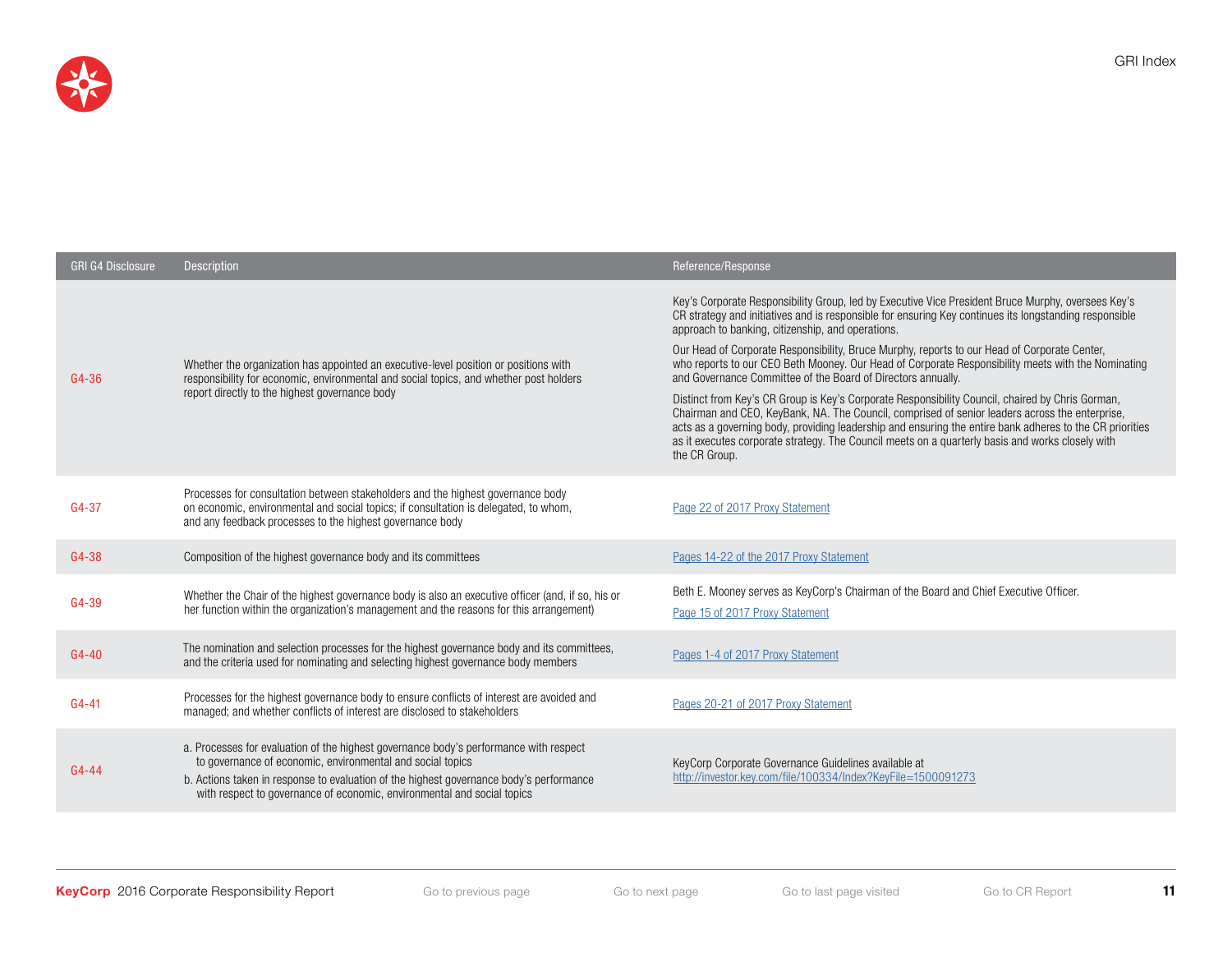

| <b>GRI G4 Disclosure</b> | <b>Description</b>                                                                                                                                                                                                                                                                                                        | Reference/Response                                                                                                                                                                                                                                                                                                                                                                                                                                                                                                                                                                                                                                                                                                                                                                                                                                                                                                                                                             |
|--------------------------|---------------------------------------------------------------------------------------------------------------------------------------------------------------------------------------------------------------------------------------------------------------------------------------------------------------------------|--------------------------------------------------------------------------------------------------------------------------------------------------------------------------------------------------------------------------------------------------------------------------------------------------------------------------------------------------------------------------------------------------------------------------------------------------------------------------------------------------------------------------------------------------------------------------------------------------------------------------------------------------------------------------------------------------------------------------------------------------------------------------------------------------------------------------------------------------------------------------------------------------------------------------------------------------------------------------------|
| G4-36                    | Whether the organization has appointed an executive-level position or positions with<br>responsibility for economic, environmental and social topics, and whether post holders<br>report directly to the highest governance body                                                                                          | Key's Corporate Responsibility Group, led by Executive Vice President Bruce Murphy, oversees Key's<br>CR strategy and initiatives and is responsible for ensuring Key continues its longstanding responsible<br>approach to banking, citizenship, and operations.<br>Our Head of Corporate Responsibility, Bruce Murphy, reports to our Head of Corporate Center,<br>who reports to our CEO Beth Mooney. Our Head of Corporate Responsibility meets with the Nominating<br>and Governance Committee of the Board of Directors annually.<br>Distinct from Key's CR Group is Key's Corporate Responsibility Council, chaired by Chris Gorman,<br>Chairman and CEO, KeyBank, NA. The Council, comprised of senior leaders across the enterprise,<br>acts as a governing body, providing leadership and ensuring the entire bank adheres to the CR priorities<br>as it executes corporate strategy. The Council meets on a quarterly basis and works closely with<br>the CR Group. |
| G4-37                    | Processes for consultation between stakeholders and the highest governance body<br>on economic, environmental and social topics; if consultation is delegated, to whom,<br>and any feedback processes to the highest governance body                                                                                      | Page 22 of 2017 Proxy Statement                                                                                                                                                                                                                                                                                                                                                                                                                                                                                                                                                                                                                                                                                                                                                                                                                                                                                                                                                |
| G4-38                    | Composition of the highest governance body and its committees                                                                                                                                                                                                                                                             | Pages 14-22 of the 2017 Proxy Statement                                                                                                                                                                                                                                                                                                                                                                                                                                                                                                                                                                                                                                                                                                                                                                                                                                                                                                                                        |
| G4-39                    | Whether the Chair of the highest governance body is also an executive officer (and, if so, his or<br>her function within the organization's management and the reasons for this arrangement)                                                                                                                              | Beth E. Mooney serves as KeyCorp's Chairman of the Board and Chief Executive Officer.<br>Page 15 of 2017 Proxy Statement                                                                                                                                                                                                                                                                                                                                                                                                                                                                                                                                                                                                                                                                                                                                                                                                                                                       |
| $G4 - 40$                | The nomination and selection processes for the highest governance body and its committees,<br>and the criteria used for nominating and selecting highest governance body members                                                                                                                                          | Pages 1-4 of 2017 Proxy Statement                                                                                                                                                                                                                                                                                                                                                                                                                                                                                                                                                                                                                                                                                                                                                                                                                                                                                                                                              |
| $G4 - 41$                | Processes for the highest governance body to ensure conflicts of interest are avoided and<br>managed; and whether conflicts of interest are disclosed to stakeholders                                                                                                                                                     | Pages 20-21 of 2017 Proxy Statement                                                                                                                                                                                                                                                                                                                                                                                                                                                                                                                                                                                                                                                                                                                                                                                                                                                                                                                                            |
| $G4 - 44$                | a. Processes for evaluation of the highest governance body's performance with respect<br>to governance of economic, environmental and social topics<br>b. Actions taken in response to evaluation of the highest governance body's performance<br>with respect to governance of economic, environmental and social topics | KeyCorp Corporate Governance Guidelines available at<br>http://investor.key.com/file/100334/Index?KeyFile=1500091273                                                                                                                                                                                                                                                                                                                                                                                                                                                                                                                                                                                                                                                                                                                                                                                                                                                           |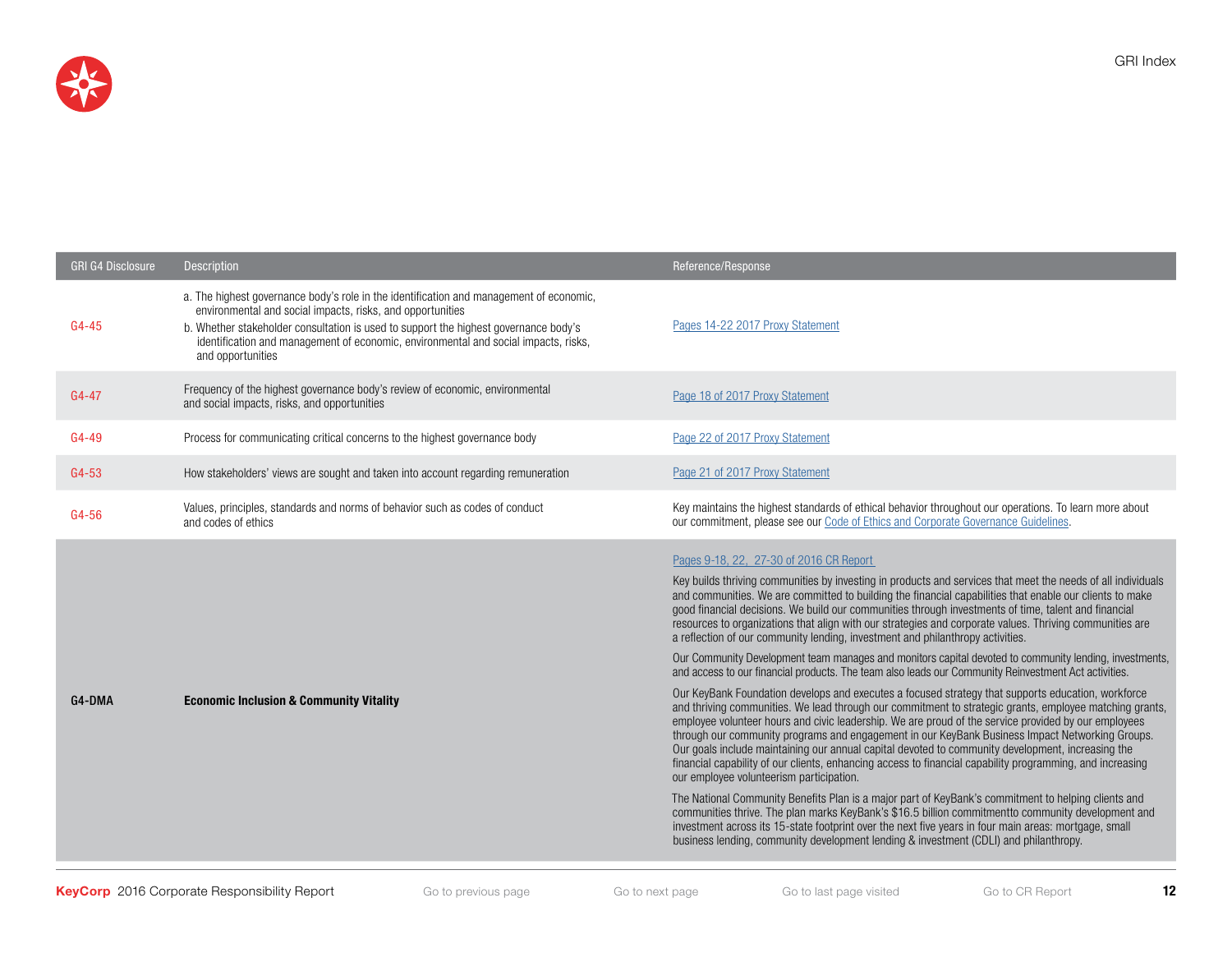

| <b>GRI G4 Disclosure</b> | <b>Description</b>                                                                                                                                                                                                                                                                                                                                        | Reference/Response                                                                                                                                                                                                                                                                                                                                                                                                                                                                                                                                                                                                                                                                                                                                                                                                                                                                                                                                                                                                                                                                                                                                                                                                                                                                                                                                                                                                                                                                                                                                                                                                                                                                                                                                                                                                                                                                                   |
|--------------------------|-----------------------------------------------------------------------------------------------------------------------------------------------------------------------------------------------------------------------------------------------------------------------------------------------------------------------------------------------------------|------------------------------------------------------------------------------------------------------------------------------------------------------------------------------------------------------------------------------------------------------------------------------------------------------------------------------------------------------------------------------------------------------------------------------------------------------------------------------------------------------------------------------------------------------------------------------------------------------------------------------------------------------------------------------------------------------------------------------------------------------------------------------------------------------------------------------------------------------------------------------------------------------------------------------------------------------------------------------------------------------------------------------------------------------------------------------------------------------------------------------------------------------------------------------------------------------------------------------------------------------------------------------------------------------------------------------------------------------------------------------------------------------------------------------------------------------------------------------------------------------------------------------------------------------------------------------------------------------------------------------------------------------------------------------------------------------------------------------------------------------------------------------------------------------------------------------------------------------------------------------------------------------|
| $G4 - 45$                | a. The highest governance body's role in the identification and management of economic,<br>environmental and social impacts, risks, and opportunities<br>b. Whether stakeholder consultation is used to support the highest governance body's<br>identification and management of economic, environmental and social impacts, risks,<br>and opportunities | Pages 14-22 2017 Proxy Statement                                                                                                                                                                                                                                                                                                                                                                                                                                                                                                                                                                                                                                                                                                                                                                                                                                                                                                                                                                                                                                                                                                                                                                                                                                                                                                                                                                                                                                                                                                                                                                                                                                                                                                                                                                                                                                                                     |
| $G4 - 47$                | Frequency of the highest governance body's review of economic, environmental<br>and social impacts, risks, and opportunities                                                                                                                                                                                                                              | Page 18 of 2017 Proxy Statement                                                                                                                                                                                                                                                                                                                                                                                                                                                                                                                                                                                                                                                                                                                                                                                                                                                                                                                                                                                                                                                                                                                                                                                                                                                                                                                                                                                                                                                                                                                                                                                                                                                                                                                                                                                                                                                                      |
| G4-49                    | Process for communicating critical concerns to the highest governance body                                                                                                                                                                                                                                                                                | Page 22 of 2017 Proxy Statement                                                                                                                                                                                                                                                                                                                                                                                                                                                                                                                                                                                                                                                                                                                                                                                                                                                                                                                                                                                                                                                                                                                                                                                                                                                                                                                                                                                                                                                                                                                                                                                                                                                                                                                                                                                                                                                                      |
| G4-53                    | How stakeholders' views are sought and taken into account regarding remuneration                                                                                                                                                                                                                                                                          | Page 21 of 2017 Proxy Statement                                                                                                                                                                                                                                                                                                                                                                                                                                                                                                                                                                                                                                                                                                                                                                                                                                                                                                                                                                                                                                                                                                                                                                                                                                                                                                                                                                                                                                                                                                                                                                                                                                                                                                                                                                                                                                                                      |
| G4-56                    | Values, principles, standards and norms of behavior such as codes of conduct<br>and codes of ethics                                                                                                                                                                                                                                                       | Key maintains the highest standards of ethical behavior throughout our operations. To learn more about<br>our commitment, please see our Code of Ethics and Corporate Governance Guidelines.                                                                                                                                                                                                                                                                                                                                                                                                                                                                                                                                                                                                                                                                                                                                                                                                                                                                                                                                                                                                                                                                                                                                                                                                                                                                                                                                                                                                                                                                                                                                                                                                                                                                                                         |
| G4-DMA                   | <b>Economic Inclusion &amp; Community Vitality</b>                                                                                                                                                                                                                                                                                                        | Pages 9-18, 22, 27-30 of 2016 CR Report<br>Key builds thriving communities by investing in products and services that meet the needs of all individuals<br>and communities. We are committed to building the financial capabilities that enable our clients to make<br>good financial decisions. We build our communities through investments of time, talent and financial<br>resources to organizations that align with our strategies and corporate values. Thriving communities are<br>a reflection of our community lending, investment and philanthropy activities.<br>Our Community Development team manages and monitors capital devoted to community lending, investments,<br>and access to our financial products. The team also leads our Community Reinvestment Act activities.<br>Our KeyBank Foundation develops and executes a focused strategy that supports education, workforce<br>and thriving communities. We lead through our commitment to strategic grants, employee matching grants,<br>employee volunteer hours and civic leadership. We are proud of the service provided by our employees<br>through our community programs and engagement in our KeyBank Business Impact Networking Groups.<br>Our goals include maintaining our annual capital devoted to community development, increasing the<br>financial capability of our clients, enhancing access to financial capability programming, and increasing<br>our employee volunteerism participation.<br>The National Community Benefits Plan is a major part of KeyBank's commitment to helping clients and<br>communities thrive. The plan marks KeyBank's \$16.5 billion commitmentto community development and<br>investment across its 15-state footprint over the next five years in four main areas: mortgage, small<br>business lending, community development lending & investment (CDLI) and philanthropy. |

GRI Index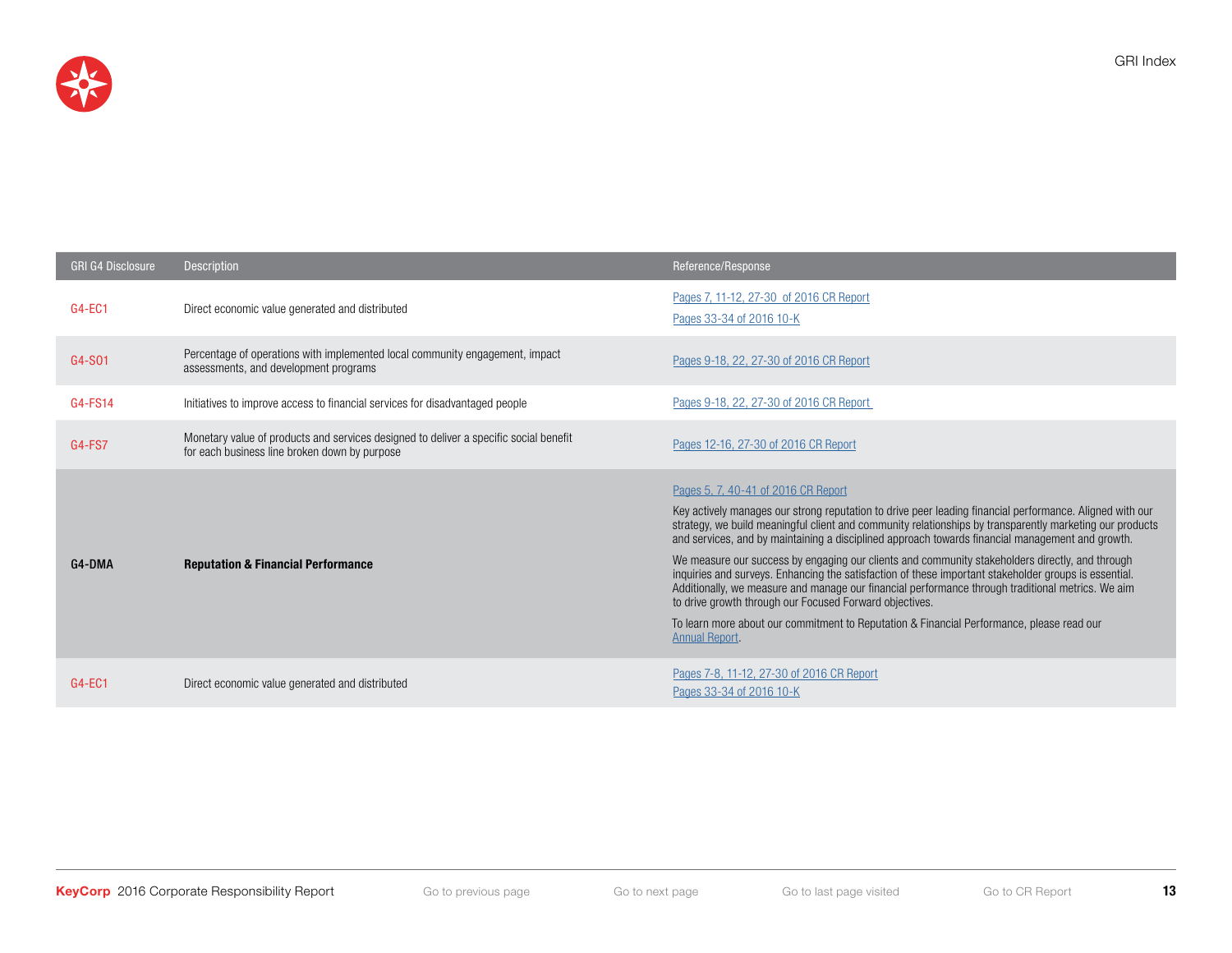

| <b>GRI G4 Disclosure</b> | Description                                                                                                                            | Reference/Response                                                                                                                                                                                                                                                                                                                                                                                                                                                                                                                                                                                                                                                                                                                                                                                                                                                |
|--------------------------|----------------------------------------------------------------------------------------------------------------------------------------|-------------------------------------------------------------------------------------------------------------------------------------------------------------------------------------------------------------------------------------------------------------------------------------------------------------------------------------------------------------------------------------------------------------------------------------------------------------------------------------------------------------------------------------------------------------------------------------------------------------------------------------------------------------------------------------------------------------------------------------------------------------------------------------------------------------------------------------------------------------------|
| G4-EC1                   | Direct economic value generated and distributed                                                                                        | Pages 7, 11-12, 27-30 of 2016 CR Report<br>Pages 33-34 of 2016 10-K                                                                                                                                                                                                                                                                                                                                                                                                                                                                                                                                                                                                                                                                                                                                                                                               |
| G4-S01                   | Percentage of operations with implemented local community engagement, impact<br>assessments, and development programs                  | Pages 9-18, 22, 27-30 of 2016 CR Report                                                                                                                                                                                                                                                                                                                                                                                                                                                                                                                                                                                                                                                                                                                                                                                                                           |
| G4-FS14                  | Initiatives to improve access to financial services for disadvantaged people                                                           | Pages 9-18, 22, 27-30 of 2016 CR Report                                                                                                                                                                                                                                                                                                                                                                                                                                                                                                                                                                                                                                                                                                                                                                                                                           |
| <b>G4-FS7</b>            | Monetary value of products and services designed to deliver a specific social benefit<br>for each business line broken down by purpose | Pages 12-16, 27-30 of 2016 CR Report                                                                                                                                                                                                                                                                                                                                                                                                                                                                                                                                                                                                                                                                                                                                                                                                                              |
| G4-DMA                   | <b>Reputation &amp; Financial Performance</b>                                                                                          | Pages 5, 7, 40-41 of 2016 CR Report<br>Key actively manages our strong reputation to drive peer leading financial performance. Aligned with our<br>strategy, we build meaningful client and community relationships by transparently marketing our products<br>and services, and by maintaining a disciplined approach towards financial management and growth.<br>We measure our success by engaging our clients and community stakeholders directly, and through<br>inquiries and surveys. Enhancing the satisfaction of these important stakeholder groups is essential.<br>Additionally, we measure and manage our financial performance through traditional metrics. We aim<br>to drive growth through our Focused Forward objectives.<br>To learn more about our commitment to Reputation & Financial Performance, please read our<br><b>Annual Report.</b> |
| $G4-EC1$                 | Direct economic value generated and distributed                                                                                        | Pages 7-8, 11-12, 27-30 of 2016 CR Report<br>Pages 33-34 of 2016 10-K                                                                                                                                                                                                                                                                                                                                                                                                                                                                                                                                                                                                                                                                                                                                                                                             |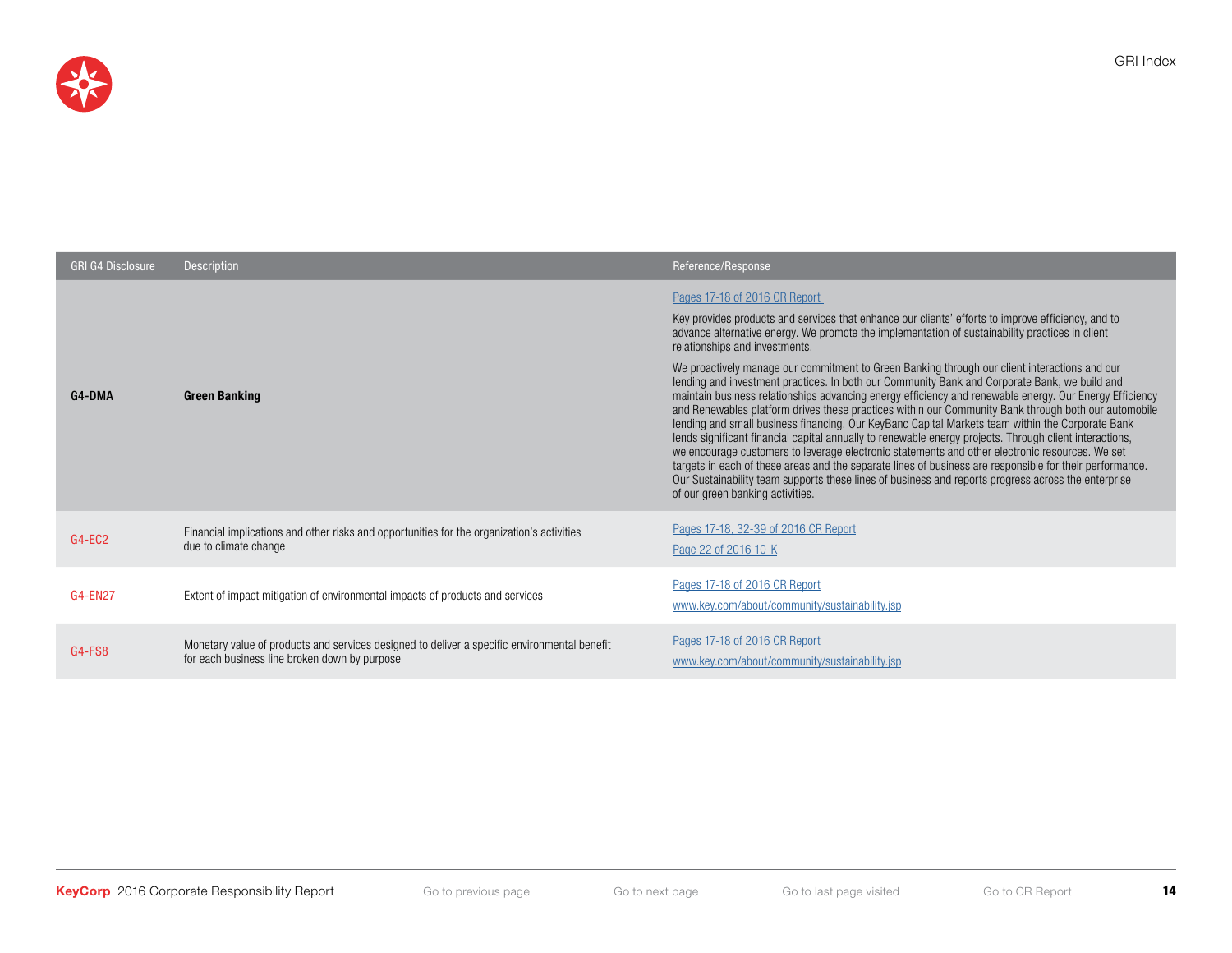

| <b>GRI G4 Disclosure</b> | <b>Description</b>                                                                                                                            | Reference/Response                                                                                                                                                                                                                                                                                                                                                                                                                                                                                                                                                                                                                                                                                                                                                                                                                                                                                                                                                                                                                                                                                                                                                                                                                                                     |
|--------------------------|-----------------------------------------------------------------------------------------------------------------------------------------------|------------------------------------------------------------------------------------------------------------------------------------------------------------------------------------------------------------------------------------------------------------------------------------------------------------------------------------------------------------------------------------------------------------------------------------------------------------------------------------------------------------------------------------------------------------------------------------------------------------------------------------------------------------------------------------------------------------------------------------------------------------------------------------------------------------------------------------------------------------------------------------------------------------------------------------------------------------------------------------------------------------------------------------------------------------------------------------------------------------------------------------------------------------------------------------------------------------------------------------------------------------------------|
| G4-DMA                   | <b>Green Banking</b>                                                                                                                          | Pages 17-18 of 2016 CR Report<br>Key provides products and services that enhance our clients' efforts to improve efficiency, and to<br>advance alternative energy. We promote the implementation of sustainability practices in client<br>relationships and investments.<br>We proactively manage our commitment to Green Banking through our client interactions and our<br>lending and investment practices. In both our Community Bank and Corporate Bank, we build and<br>maintain business relationships advancing energy efficiency and renewable energy. Our Energy Efficiency<br>and Renewables platform drives these practices within our Community Bank through both our automobile<br>lending and small business financing. Our KeyBanc Capital Markets team within the Corporate Bank<br>lends significant financial capital annually to renewable energy projects. Through client interactions,<br>we encourage customers to leverage electronic statements and other electronic resources. We set<br>targets in each of these areas and the separate lines of business are responsible for their performance.<br>Our Sustainability team supports these lines of business and reports progress across the enterprise<br>of our green banking activities. |
| G4-EC2                   | Financial implications and other risks and opportunities for the organization's activities<br>due to climate change                           | Pages 17-18, 32-39 of 2016 CR Report<br>Page 22 of 2016 10-K                                                                                                                                                                                                                                                                                                                                                                                                                                                                                                                                                                                                                                                                                                                                                                                                                                                                                                                                                                                                                                                                                                                                                                                                           |
| <b>G4-EN27</b>           | Extent of impact mitigation of environmental impacts of products and services                                                                 | Pages 17-18 of 2016 CR Report<br>www.key.com/about/community/sustainability.jsp                                                                                                                                                                                                                                                                                                                                                                                                                                                                                                                                                                                                                                                                                                                                                                                                                                                                                                                                                                                                                                                                                                                                                                                        |
| G4-FS8                   | Monetary value of products and services designed to deliver a specific environmental benefit<br>for each business line broken down by purpose | Pages 17-18 of 2016 CR Report<br>www.key.com/about/community/sustainability.jsp                                                                                                                                                                                                                                                                                                                                                                                                                                                                                                                                                                                                                                                                                                                                                                                                                                                                                                                                                                                                                                                                                                                                                                                        |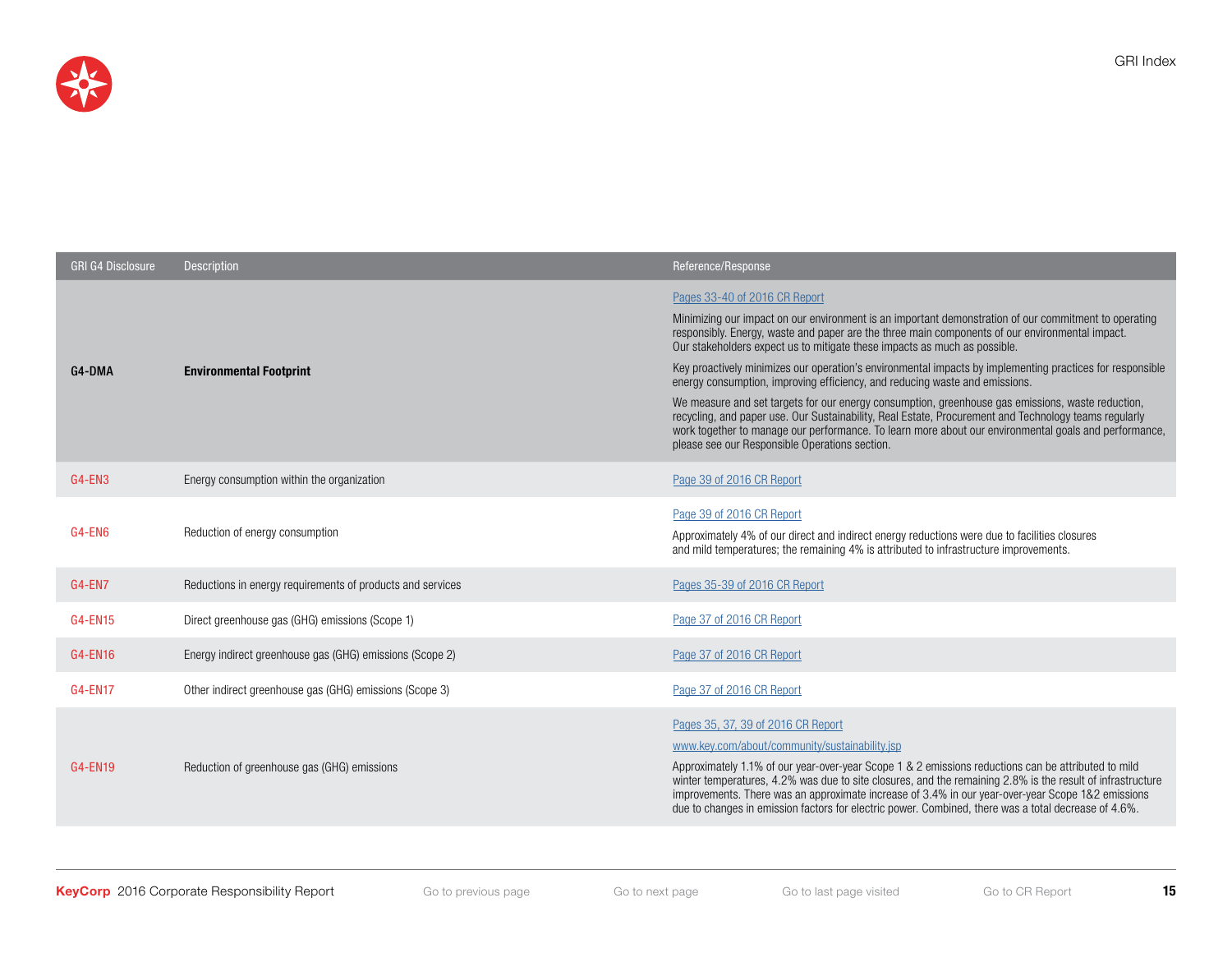

| <b>GRI G4 Disclosure</b> | <b>Description</b>                                         | Reference/Response                                                                                                                                                                                                                                                                                                                                                                                                                                                                                                                                                                                                                                                                                                                                                                                                                        |
|--------------------------|------------------------------------------------------------|-------------------------------------------------------------------------------------------------------------------------------------------------------------------------------------------------------------------------------------------------------------------------------------------------------------------------------------------------------------------------------------------------------------------------------------------------------------------------------------------------------------------------------------------------------------------------------------------------------------------------------------------------------------------------------------------------------------------------------------------------------------------------------------------------------------------------------------------|
| G4-DMA                   | <b>Environmental Footprint</b>                             | Pages 33-40 of 2016 CR Report<br>Minimizing our impact on our environment is an important demonstration of our commitment to operating<br>responsibly. Energy, waste and paper are the three main components of our environmental impact.<br>Our stakeholders expect us to mitigate these impacts as much as possible.<br>Key proactively minimizes our operation's environmental impacts by implementing practices for responsible<br>energy consumption, improving efficiency, and reducing waste and emissions.<br>We measure and set targets for our energy consumption, greenhouse gas emissions, waste reduction,<br>recycling, and paper use. Our Sustainability, Real Estate, Procurement and Technology teams regularly<br>work together to manage our performance. To learn more about our environmental goals and performance, |
| G4-EN3                   | Energy consumption within the organization                 | please see our Responsible Operations section.<br>Page 39 of 2016 CR Report                                                                                                                                                                                                                                                                                                                                                                                                                                                                                                                                                                                                                                                                                                                                                               |
| G4-EN6                   | Reduction of energy consumption                            | Page 39 of 2016 CR Report<br>Approximately 4% of our direct and indirect energy reductions were due to facilities closures<br>and mild temperatures; the remaining 4% is attributed to infrastructure improvements.                                                                                                                                                                                                                                                                                                                                                                                                                                                                                                                                                                                                                       |
| <b>G4-EN7</b>            | Reductions in energy requirements of products and services | Pages 35-39 of 2016 CR Report                                                                                                                                                                                                                                                                                                                                                                                                                                                                                                                                                                                                                                                                                                                                                                                                             |
| <b>G4-EN15</b>           | Direct greenhouse gas (GHG) emissions (Scope 1)            | Page 37 of 2016 CR Report                                                                                                                                                                                                                                                                                                                                                                                                                                                                                                                                                                                                                                                                                                                                                                                                                 |
| G4-EN16                  | Energy indirect greenhouse gas (GHG) emissions (Scope 2)   | Page 37 of 2016 CR Report                                                                                                                                                                                                                                                                                                                                                                                                                                                                                                                                                                                                                                                                                                                                                                                                                 |
| G4-EN17                  | Other indirect greenhouse gas (GHG) emissions (Scope 3)    | Page 37 of 2016 CR Report                                                                                                                                                                                                                                                                                                                                                                                                                                                                                                                                                                                                                                                                                                                                                                                                                 |
| G4-EN19                  | Reduction of greenhouse gas (GHG) emissions                | Pages 35, 37, 39 of 2016 CR Report<br>www.key.com/about/community/sustainability.jsp<br>Approximately 1.1% of our year-over-year Scope 1 & 2 emissions reductions can be attributed to mild<br>winter temperatures, 4.2% was due to site closures, and the remaining 2.8% is the result of infrastructure<br>improvements. There was an approximate increase of 3.4% in our year-over-year Scope 1&2 emissions<br>due to changes in emission factors for electric power. Combined, there was a total decrease of 4.6%.                                                                                                                                                                                                                                                                                                                    |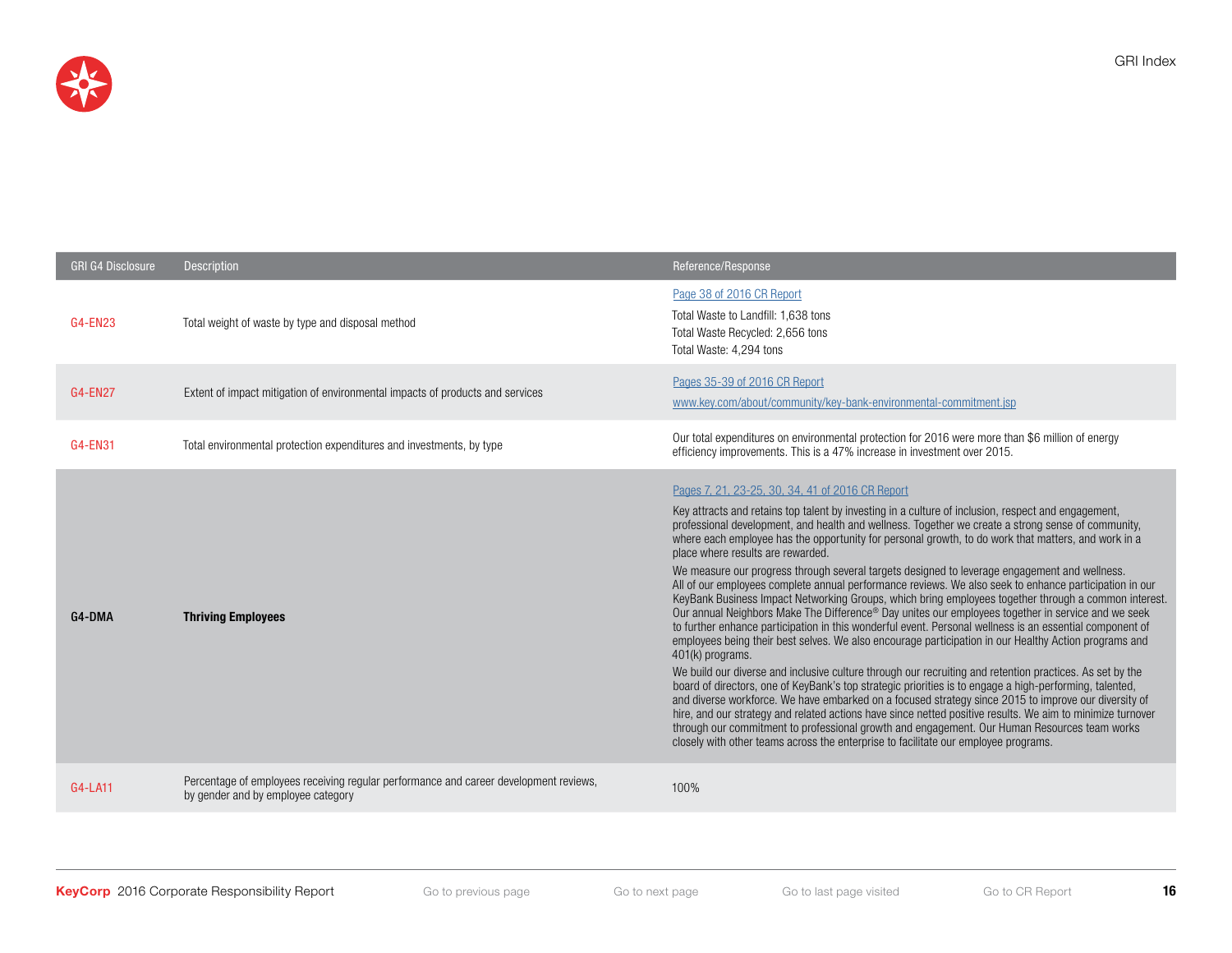

| <b>GRI G4 Disclosure</b> | <b>Description</b>                                                                                                          | Reference/Response                                                                                                                                                                                                                                                                                                                                                                                                                                                                                                                                                                                                                                                                                                                                                                                                                                                                                                                                                                                                                                                                                                                                                                                                                                                                                                                                                                                                                                                                                                                                                                                                                                                                                              |
|--------------------------|-----------------------------------------------------------------------------------------------------------------------------|-----------------------------------------------------------------------------------------------------------------------------------------------------------------------------------------------------------------------------------------------------------------------------------------------------------------------------------------------------------------------------------------------------------------------------------------------------------------------------------------------------------------------------------------------------------------------------------------------------------------------------------------------------------------------------------------------------------------------------------------------------------------------------------------------------------------------------------------------------------------------------------------------------------------------------------------------------------------------------------------------------------------------------------------------------------------------------------------------------------------------------------------------------------------------------------------------------------------------------------------------------------------------------------------------------------------------------------------------------------------------------------------------------------------------------------------------------------------------------------------------------------------------------------------------------------------------------------------------------------------------------------------------------------------------------------------------------------------|
| G4-EN23                  | Total weight of waste by type and disposal method                                                                           | Page 38 of 2016 CR Report<br>Total Waste to Landfill: 1,638 tons<br>Total Waste Recycled: 2,656 tons<br>Total Waste: 4.294 tons                                                                                                                                                                                                                                                                                                                                                                                                                                                                                                                                                                                                                                                                                                                                                                                                                                                                                                                                                                                                                                                                                                                                                                                                                                                                                                                                                                                                                                                                                                                                                                                 |
| <b>G4-EN27</b>           | Extent of impact mitigation of environmental impacts of products and services                                               | Pages 35-39 of 2016 CR Report<br>www.key.com/about/community/key-bank-environmental-commitment.jsp                                                                                                                                                                                                                                                                                                                                                                                                                                                                                                                                                                                                                                                                                                                                                                                                                                                                                                                                                                                                                                                                                                                                                                                                                                                                                                                                                                                                                                                                                                                                                                                                              |
| <b>G4-EN31</b>           | Total environmental protection expenditures and investments, by type                                                        | Our total expenditures on environmental protection for 2016 were more than \$6 million of energy<br>efficiency improvements. This is a 47% increase in investment over 2015.                                                                                                                                                                                                                                                                                                                                                                                                                                                                                                                                                                                                                                                                                                                                                                                                                                                                                                                                                                                                                                                                                                                                                                                                                                                                                                                                                                                                                                                                                                                                    |
| G4-DMA                   | <b>Thriving Employees</b>                                                                                                   | Pages 7, 21, 23-25, 30, 34, 41 of 2016 CR Report<br>Key attracts and retains top talent by investing in a culture of inclusion, respect and engagement,<br>professional development, and health and wellness. Together we create a strong sense of community,<br>where each employee has the opportunity for personal growth, to do work that matters, and work in a<br>place where results are rewarded.<br>We measure our progress through several targets designed to leverage engagement and wellness.<br>All of our employees complete annual performance reviews. We also seek to enhance participation in our<br>KeyBank Business Impact Networking Groups, which bring employees together through a common interest.<br>Our annual Neighbors Make The Difference® Day unites our employees together in service and we seek<br>to further enhance participation in this wonderful event. Personal wellness is an essential component of<br>employees being their best selves. We also encourage participation in our Healthy Action programs and<br>401(k) programs.<br>We build our diverse and inclusive culture through our recruiting and retention practices. As set by the<br>board of directors, one of KeyBank's top strategic priorities is to engage a high-performing, talented,<br>and diverse workforce. We have embarked on a focused strategy since 2015 to improve our diversity of<br>hire, and our strategy and related actions have since netted positive results. We aim to minimize turnover<br>through our commitment to professional growth and engagement. Our Human Resources team works<br>closely with other teams across the enterprise to facilitate our employee programs. |
| G4-LA11                  | Percentage of employees receiving regular performance and career development reviews,<br>by gender and by employee category | 100%                                                                                                                                                                                                                                                                                                                                                                                                                                                                                                                                                                                                                                                                                                                                                                                                                                                                                                                                                                                                                                                                                                                                                                                                                                                                                                                                                                                                                                                                                                                                                                                                                                                                                                            |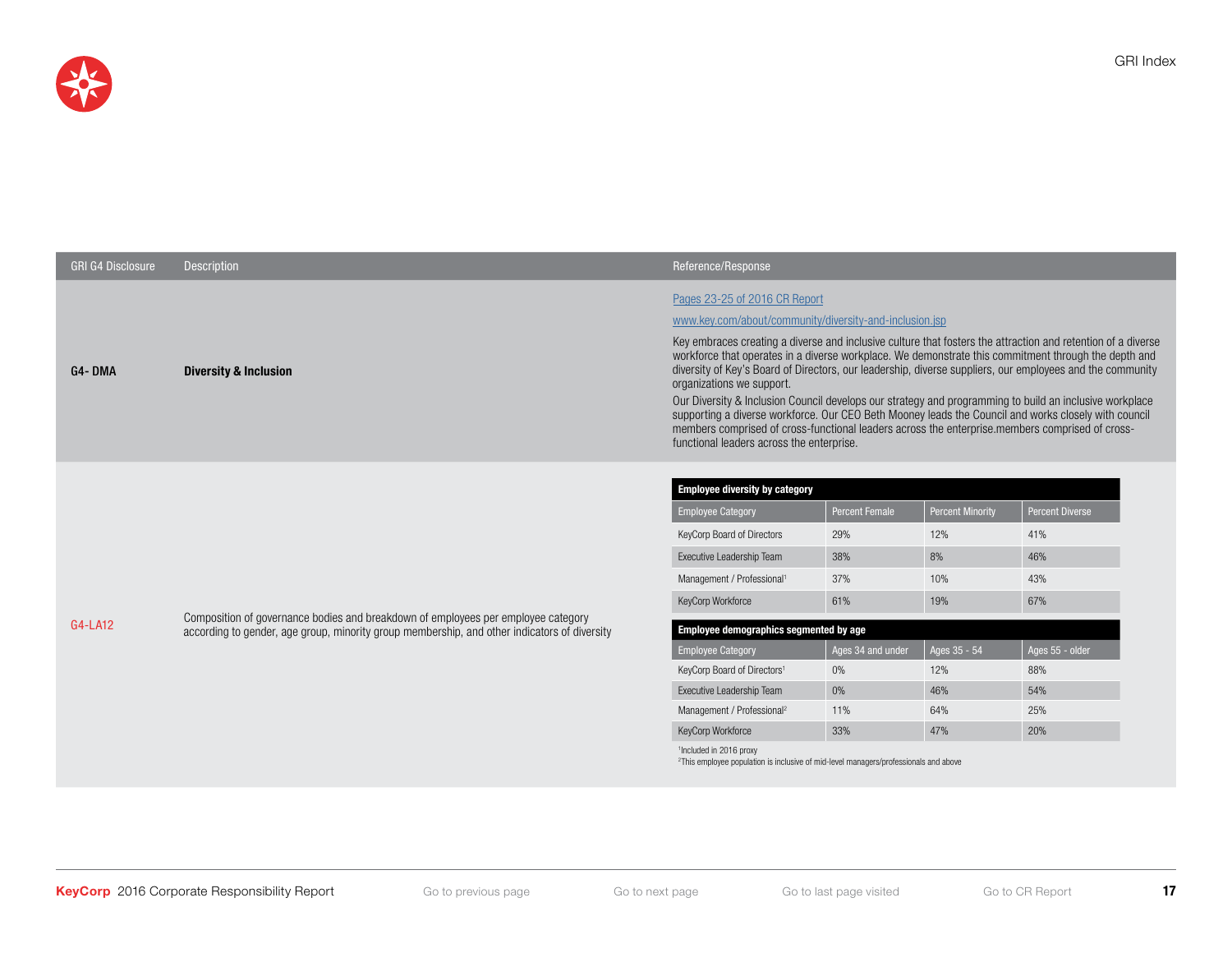

| <b>GRI G4 Disclosure</b> | <b>Description</b>                                                                                                                                                                | Reference/Response                                                                                                                                                                                                                                                                                                                                                                                                                                                                                                                                                                                                                                                                                                                                                                                                            |                                                                                                  |                                                                                                |                                                                                                   |
|--------------------------|-----------------------------------------------------------------------------------------------------------------------------------------------------------------------------------|-------------------------------------------------------------------------------------------------------------------------------------------------------------------------------------------------------------------------------------------------------------------------------------------------------------------------------------------------------------------------------------------------------------------------------------------------------------------------------------------------------------------------------------------------------------------------------------------------------------------------------------------------------------------------------------------------------------------------------------------------------------------------------------------------------------------------------|--------------------------------------------------------------------------------------------------|------------------------------------------------------------------------------------------------|---------------------------------------------------------------------------------------------------|
| G4-DMA                   | <b>Diversity &amp; Inclusion</b>                                                                                                                                                  | Pages 23-25 of 2016 CR Report<br>www.key.com/about/community/diversity-and-inclusion.jsp<br>Key embraces creating a diverse and inclusive culture that fosters the attraction and retention of a diverse<br>workforce that operates in a diverse workplace. We demonstrate this commitment through the depth and<br>diversity of Key's Board of Directors, our leadership, diverse suppliers, our employees and the community<br>organizations we support.<br>Our Diversity & Inclusion Council develops our strategy and programming to build an inclusive workplace<br>supporting a diverse workforce. Our CEO Beth Mooney leads the Council and works closely with council<br>members comprised of cross-functional leaders across the enterprise.members comprised of cross-<br>functional leaders across the enterprise. |                                                                                                  |                                                                                                |                                                                                                   |
| G4-LA12                  | Composition of governance bodies and breakdown of employees per employee category<br>according to gender, age group, minority group membership, and other indicators of diversity | <b>Employee diversity by category</b><br><b>Employee Category</b><br>KeyCorp Board of Directors<br>Executive Leadership Team<br>Management / Professional <sup>1</sup><br>KeyCorp Workforce<br>Employee demographics segmented by age<br><b>Employee Category</b><br>KeyCorp Board of Directors <sup>1</sup><br>Executive Leadership Team<br>Management / Professional <sup>2</sup><br>KeyCorp Workforce<br><sup>1</sup> Included in 2016 proxy                                                                                                                                                                                                                                                                                                                                                                               | <b>Percent Female</b><br>29%<br>38%<br>37%<br>61%<br>Ages 34 and under<br>0%<br>0%<br>11%<br>33% | <b>Percent Minority</b><br>12%<br>8%<br>10%<br>19%<br>Ages 35 - 54<br>12%<br>46%<br>64%<br>47% | <b>Percent Diverse</b><br>41%<br>46%<br>43%<br>67%<br>Ages 55 - older<br>88%<br>54%<br>25%<br>20% |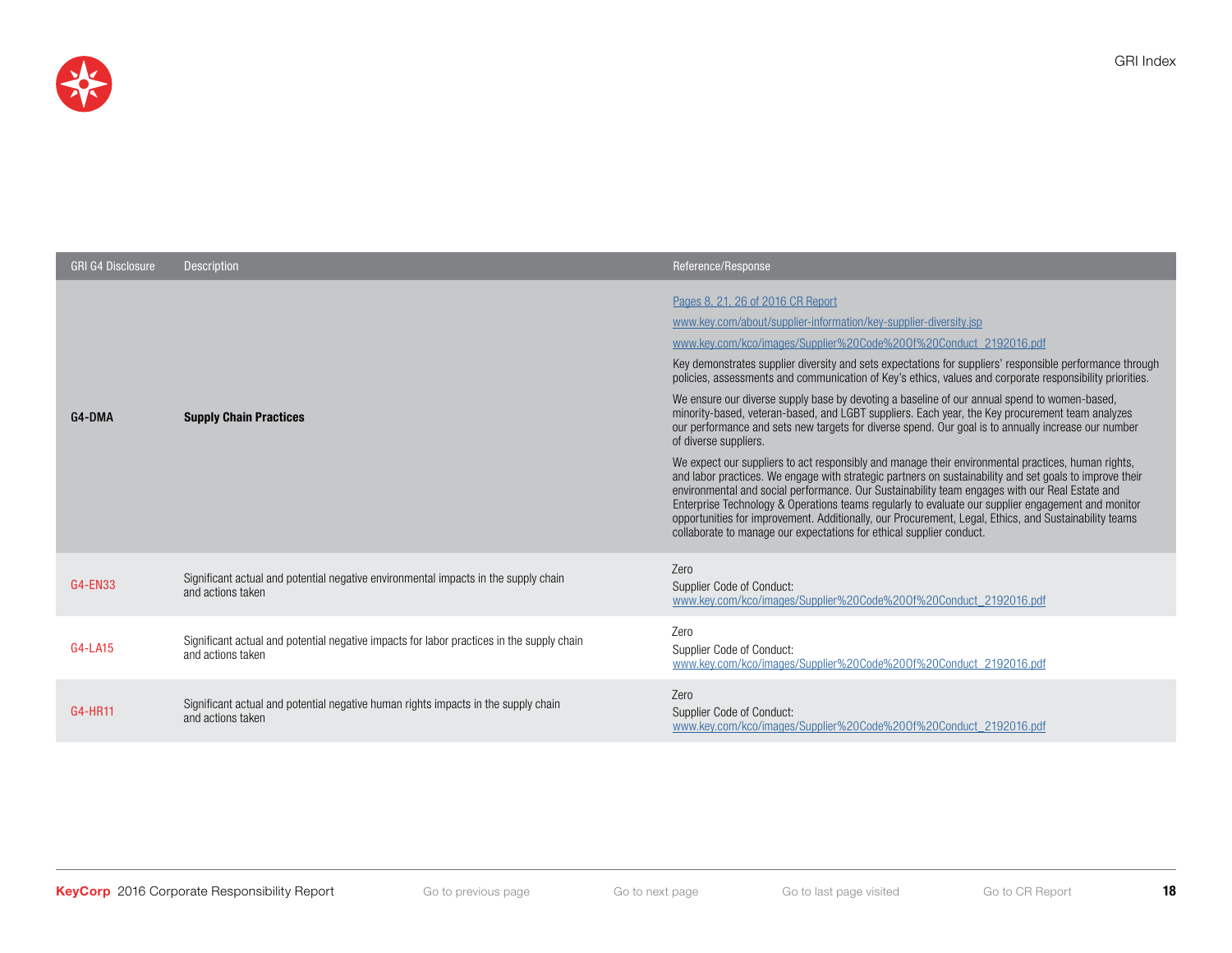

| <b>GRI G4 Disclosure</b> | <b>Description</b>                                                                                             | Reference/Response                                                                                                                                                                                                                                                                                                                                                                                                                                                                                                                                                                                                                                                                                                                                                                                                                                                                                                                                                                                                                                                                                                                                                                                                                                                                                                                               |
|--------------------------|----------------------------------------------------------------------------------------------------------------|--------------------------------------------------------------------------------------------------------------------------------------------------------------------------------------------------------------------------------------------------------------------------------------------------------------------------------------------------------------------------------------------------------------------------------------------------------------------------------------------------------------------------------------------------------------------------------------------------------------------------------------------------------------------------------------------------------------------------------------------------------------------------------------------------------------------------------------------------------------------------------------------------------------------------------------------------------------------------------------------------------------------------------------------------------------------------------------------------------------------------------------------------------------------------------------------------------------------------------------------------------------------------------------------------------------------------------------------------|
| G4-DMA                   | <b>Supply Chain Practices</b>                                                                                  | Pages 8, 21, 26 of 2016 CR Report<br>www.key.com/about/supplier-information/key-supplier-diversity.jsp<br>www.key.com/kco/images/Supplier%20Code%20Of%20Conduct 2192016.pdf<br>Key demonstrates supplier diversity and sets expectations for suppliers' responsible performance through<br>policies, assessments and communication of Key's ethics, values and corporate responsibility priorities.<br>We ensure our diverse supply base by devoting a baseline of our annual spend to women-based,<br>minority-based, veteran-based, and LGBT suppliers. Each year, the Key procurement team analyzes<br>our performance and sets new targets for diverse spend. Our goal is to annually increase our number<br>of diverse suppliers.<br>We expect our suppliers to act responsibly and manage their environmental practices, human rights,<br>and labor practices. We engage with strategic partners on sustainability and set goals to improve their<br>environmental and social performance. Our Sustainability team engages with our Real Estate and<br>Enterprise Technology & Operations teams regularly to evaluate our supplier engagement and monitor<br>opportunities for improvement. Additionally, our Procurement, Legal, Ethics, and Sustainability teams<br>collaborate to manage our expectations for ethical supplier conduct. |
| G4-EN33                  | Significant actual and potential negative environmental impacts in the supply chain<br>and actions taken       | Zero<br>Supplier Code of Conduct:<br>www.key.com/kco/images/Supplier%20Code%200f%20Conduct 2192016.pdf                                                                                                                                                                                                                                                                                                                                                                                                                                                                                                                                                                                                                                                                                                                                                                                                                                                                                                                                                                                                                                                                                                                                                                                                                                           |
| G4-LA15                  | Significant actual and potential negative impacts for labor practices in the supply chain<br>and actions taken | Zero<br>Supplier Code of Conduct:<br>www.key.com/kco/images/Supplier%20Code%200f%20Conduct_2192016.pdf                                                                                                                                                                                                                                                                                                                                                                                                                                                                                                                                                                                                                                                                                                                                                                                                                                                                                                                                                                                                                                                                                                                                                                                                                                           |
| G4-HR11                  | Significant actual and potential negative human rights impacts in the supply chain<br>and actions taken        | Zero<br>Supplier Code of Conduct:<br>www.key.com/kco/images/Supplier%20Code%200f%20Conduct 2192016.pdf                                                                                                                                                                                                                                                                                                                                                                                                                                                                                                                                                                                                                                                                                                                                                                                                                                                                                                                                                                                                                                                                                                                                                                                                                                           |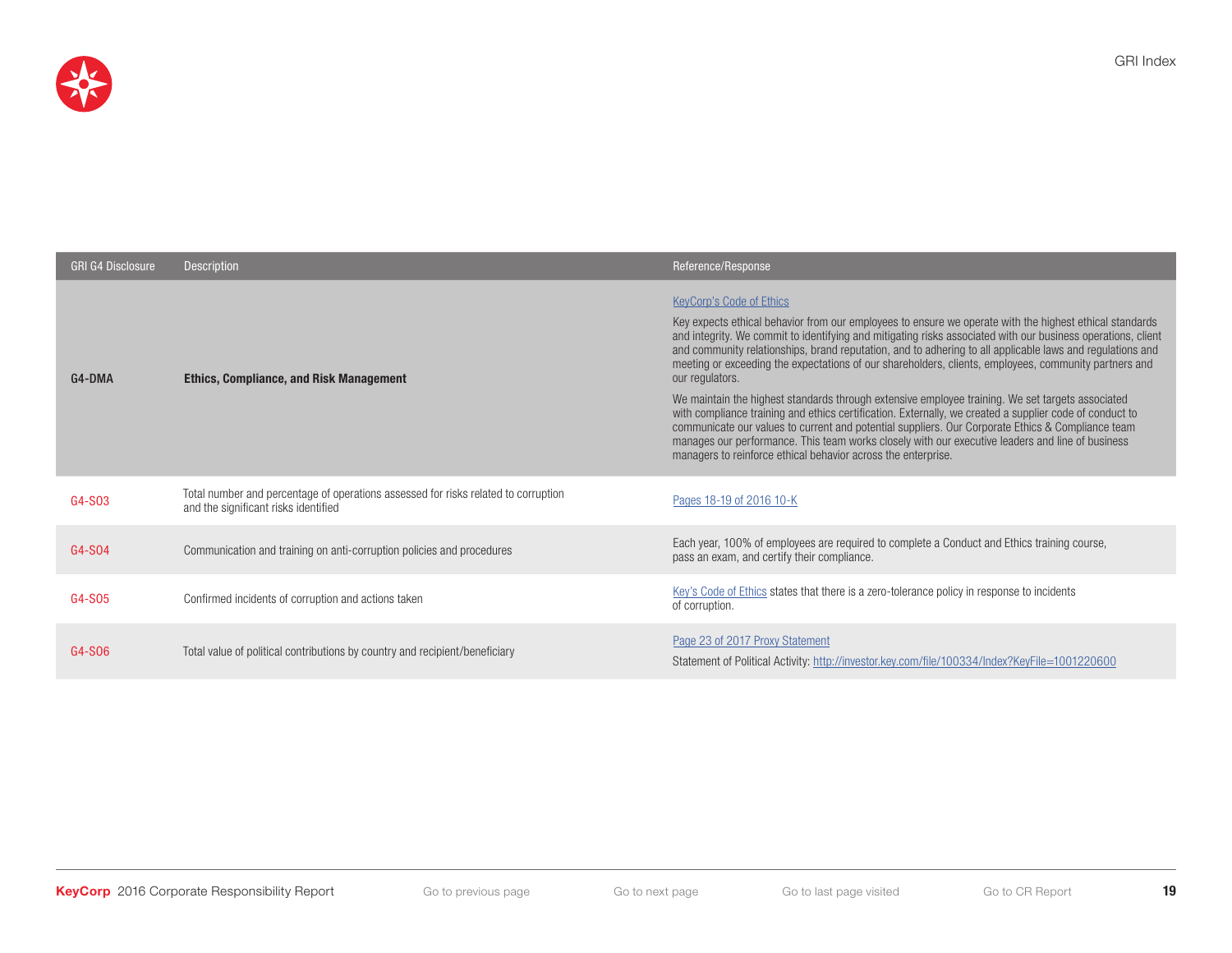

| <b>GRI G4 Disclosure</b> | Description                                                                                                                | Reference/Response                                                                                                                                                                                                                                                                                                                                                                                                                                                                                                                                                                                                                                                                                                                                                                                                                                                                                                                                                                           |
|--------------------------|----------------------------------------------------------------------------------------------------------------------------|----------------------------------------------------------------------------------------------------------------------------------------------------------------------------------------------------------------------------------------------------------------------------------------------------------------------------------------------------------------------------------------------------------------------------------------------------------------------------------------------------------------------------------------------------------------------------------------------------------------------------------------------------------------------------------------------------------------------------------------------------------------------------------------------------------------------------------------------------------------------------------------------------------------------------------------------------------------------------------------------|
| G4-DMA                   | <b>Ethics, Compliance, and Risk Management</b>                                                                             | <b>KeyCorp's Code of Ethics</b><br>Key expects ethical behavior from our employees to ensure we operate with the highest ethical standards<br>and integrity. We commit to identifying and mitigating risks associated with our business operations, client<br>and community relationships, brand reputation, and to adhering to all applicable laws and regulations and<br>meeting or exceeding the expectations of our shareholders, clients, employees, community partners and<br>our regulators.<br>We maintain the highest standards through extensive employee training. We set targets associated<br>with compliance training and ethics certification. Externally, we created a supplier code of conduct to<br>communicate our values to current and potential suppliers. Our Corporate Ethics & Compliance team<br>manages our performance. This team works closely with our executive leaders and line of business<br>managers to reinforce ethical behavior across the enterprise. |
| G4-S03                   | Total number and percentage of operations assessed for risks related to corruption<br>and the significant risks identified | Pages 18-19 of 2016 10-K                                                                                                                                                                                                                                                                                                                                                                                                                                                                                                                                                                                                                                                                                                                                                                                                                                                                                                                                                                     |
| G4-S04                   | Communication and training on anti-corruption policies and procedures                                                      | Each year, 100% of employees are required to complete a Conduct and Ethics training course,<br>pass an exam, and certify their compliance.                                                                                                                                                                                                                                                                                                                                                                                                                                                                                                                                                                                                                                                                                                                                                                                                                                                   |
| G4-S05                   | Confirmed incidents of corruption and actions taken                                                                        | Key's Code of Ethics states that there is a zero-tolerance policy in response to incidents<br>of corruption.                                                                                                                                                                                                                                                                                                                                                                                                                                                                                                                                                                                                                                                                                                                                                                                                                                                                                 |
| G4-S06                   | Total value of political contributions by country and recipient/beneficiary                                                | Page 23 of 2017 Proxy Statement<br>Statement of Political Activity: http://investor.key.com/file/100334/Index?KeyFile=1001220600                                                                                                                                                                                                                                                                                                                                                                                                                                                                                                                                                                                                                                                                                                                                                                                                                                                             |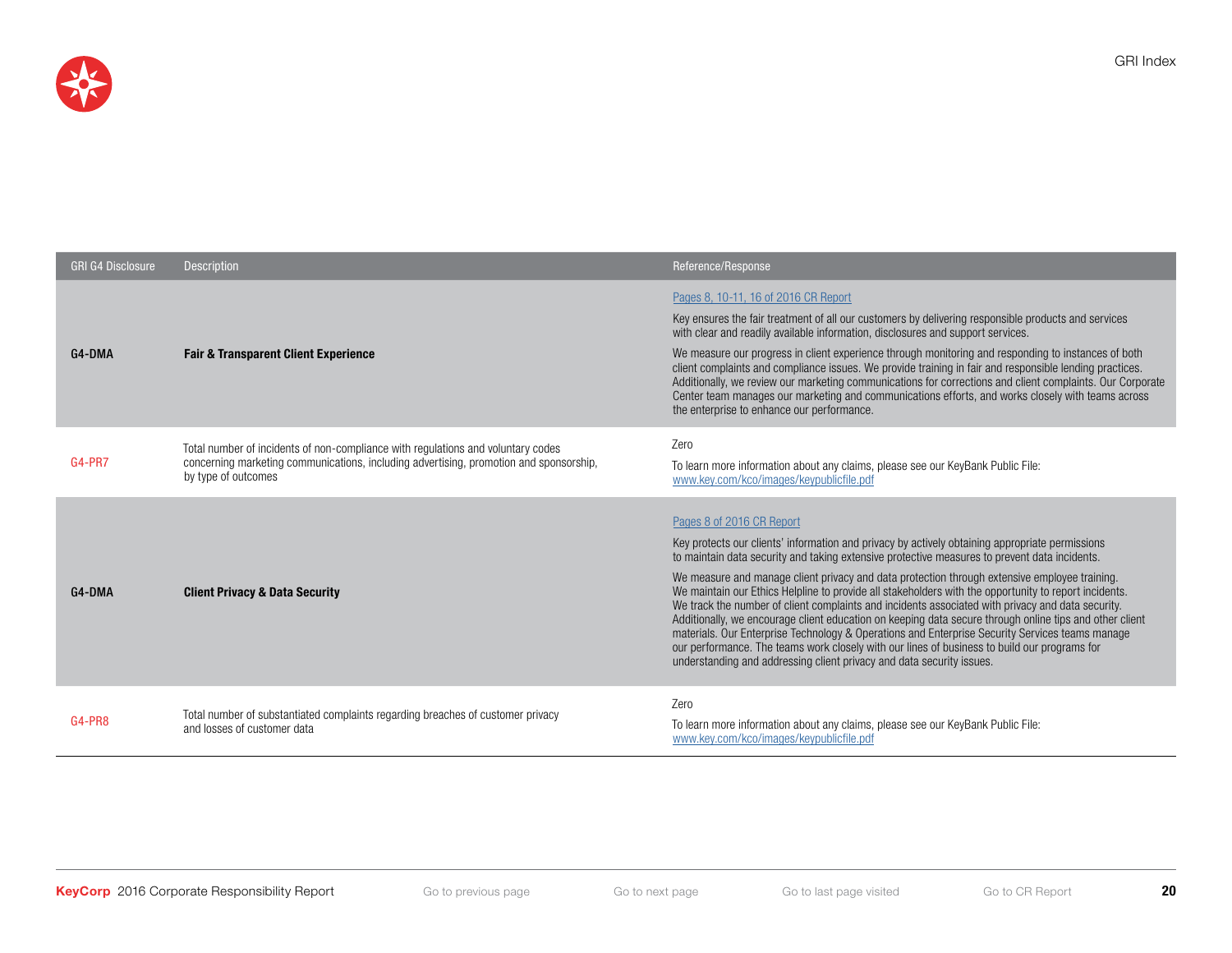

GRI Index

| <b>GRI G4 Disclosure</b> | <b>Description</b>                                                                                                                                                                                | Reference/Response                                                                                                                                                                                                                                                                                                                                                                                                                                                                                                                                                                                                                                                                                                                                                                                                                                                                                                                  |
|--------------------------|---------------------------------------------------------------------------------------------------------------------------------------------------------------------------------------------------|-------------------------------------------------------------------------------------------------------------------------------------------------------------------------------------------------------------------------------------------------------------------------------------------------------------------------------------------------------------------------------------------------------------------------------------------------------------------------------------------------------------------------------------------------------------------------------------------------------------------------------------------------------------------------------------------------------------------------------------------------------------------------------------------------------------------------------------------------------------------------------------------------------------------------------------|
| G4-DMA                   | <b>Fair &amp; Transparent Client Experience</b>                                                                                                                                                   | Pages 8, 10-11, 16 of 2016 CR Report<br>Key ensures the fair treatment of all our customers by delivering responsible products and services<br>with clear and readily available information, disclosures and support services.<br>We measure our progress in client experience through monitoring and responding to instances of both<br>client complaints and compliance issues. We provide training in fair and responsible lending practices.<br>Additionally, we review our marketing communications for corrections and client complaints. Our Corporate<br>Center team manages our marketing and communications efforts, and works closely with teams across<br>the enterprise to enhance our performance.                                                                                                                                                                                                                    |
| <b>G4-PR7</b>            | Total number of incidents of non-compliance with regulations and voluntary codes<br>concerning marketing communications, including advertising, promotion and sponsorship,<br>by type of outcomes | Zero<br>To learn more information about any claims, please see our KeyBank Public File:<br>www.key.com/kco/images/keypublicfile.pdf                                                                                                                                                                                                                                                                                                                                                                                                                                                                                                                                                                                                                                                                                                                                                                                                 |
| G4-DMA                   | <b>Client Privacy &amp; Data Security</b>                                                                                                                                                         | Pages 8 of 2016 CR Report<br>Key protects our clients' information and privacy by actively obtaining appropriate permissions<br>to maintain data security and taking extensive protective measures to prevent data incidents.<br>We measure and manage client privacy and data protection through extensive employee training.<br>We maintain our Ethics Helpline to provide all stakeholders with the opportunity to report incidents.<br>We track the number of client complaints and incidents associated with privacy and data security.<br>Additionally, we encourage client education on keeping data secure through online tips and other client<br>materials. Our Enterprise Technology & Operations and Enterprise Security Services teams manage<br>our performance. The teams work closely with our lines of business to build our programs for<br>understanding and addressing client privacy and data security issues. |
| G4-PR8                   | Total number of substantiated complaints regarding breaches of customer privacy<br>and losses of customer data                                                                                    | Zero<br>To learn more information about any claims, please see our KeyBank Public File:<br>www.key.com/kco/images/keypublicfile.pdf                                                                                                                                                                                                                                                                                                                                                                                                                                                                                                                                                                                                                                                                                                                                                                                                 |